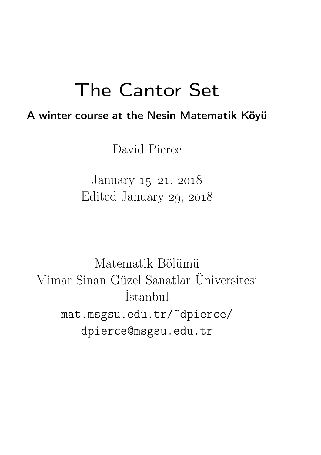## The Cantor Set

### A winter course at the Nesin Matematik Köyü

David Pierce

January  $15-21$ ,  $2018$ Edited January 29, 2018

Matematik Bölümü Mimar Sinan Güzel Sanatlar Üniversitesi İstanbul mat.msgsu.edu.tr/~dpierce/ dpierce@msgsu.edu.tr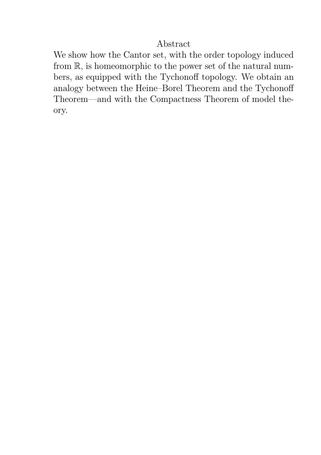#### Abstract

We show how the Cantor set, with the order topology induced from R, is homeomorphic to the power set of the natural numbers, as equipped with the Tychonoff topology. We obtain an analogy between the Heine–Borel Theorem and the Tychonoff Theorem—and with the Compactness Theorem of model theory.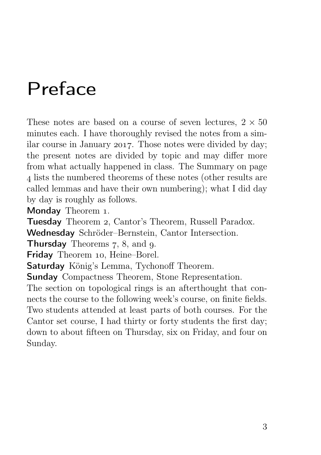## Preface

These notes are based on a course of seven lectures,  $2 \times 50$ minutes each. I have thoroughly revised the notes from a similar course in January 2017. Those notes were divided by day; the present notes are divided by topic and may differ more from what actually happened in class. The Summary on page lists the numbered theorems of these notes (other results are called lemmas and have their own numbering); what I did day by day is roughly as follows.

Monday Theorem 1.

Tuesday Theorem , Cantor's Theorem, Russell Paradox.

Wednesday Schröder–Bernstein, Cantor Intersection.

**Thursday** Theorems  $7, 8$ , and  $9$ .

Friday Theorem 10, Heine-Borel.

Saturday König's Lemma, Tychonoff Theorem.

Sunday Compactness Theorem, Stone Representation.

The section on topological rings is an afterthought that connects the course to the following week's course, on finite fields. Two students attended at least parts of both courses. For the Cantor set course, I had thirty or forty students the first day; down to about fifteen on Thursday, six on Friday, and four on Sunday.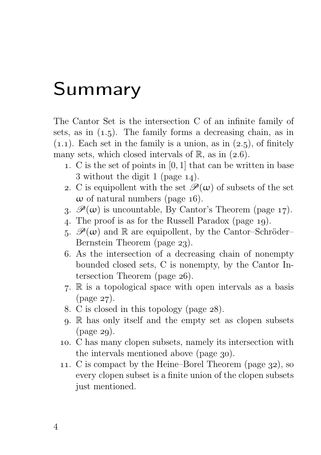## Summary

The Cantor Set is the intersection C of an infinite family of sets, as in  $(1.5)$ . The family forms a decreasing chain, as in  $(1.1)$ . Each set in the family is a union, as in  $(2.5)$ , of finitely many sets, which closed intervals of  $\mathbb{R}$ , as in (2.6).

- . C is the set of points in [0, 1] that can be written in base 3 without the digit 1 (page  $14$ ).
- 2. C is equipollent with the set  $\mathscr{P}(\omega)$  of subsets of the set  $\omega$  of natural numbers (page 16).
- 3.  $\mathscr{P}(\omega)$  is uncountable, By Cantor's Theorem (page 17).
- 4. The proof is as for the Russell Paradox (page 19).
- 5.  $\mathscr{P}(\omega)$  and R are equipollent, by the Cantor–Schröder– Bernstein Theorem (page  $23$ ).
- . As the intersection of a decreasing chain of nonempty bounded closed sets, C is nonempty, by the Cantor Intersection Theorem (page  $26$ ).
- . R is a topological space with open intervals as a basis  $(page 27).$
- 8. C is closed in this topology (page  $28$ ).
- . R has only itself and the empty set as clopen subsets  $(page 29)$ .
- . C has many clopen subsets, namely its intersection with the intervals mentioned above (page 30).
- 11. C is compact by the Heine–Borel Theorem (page  $32$ ), so every clopen subset is a finite union of the clopen subsets just mentioned.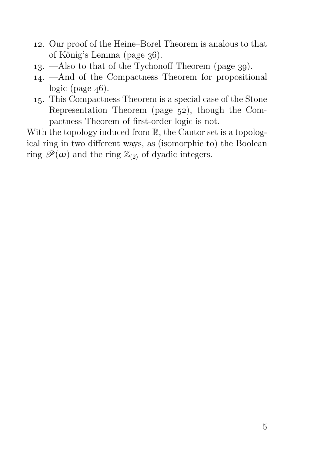- . Our proof of the Heine–Borel Theorem is analous to that of König's Lemma (page  $36$ ).
- 13. —Also to that of the Tychonoff Theorem (page  $39$ ).
- . —And of the Compactness Theorem for propositional logic (page  $46$ ).
- . This Compactness Theorem is a special case of the Stone Representation Theorem (page  $52$ ), though the Compactness Theorem of first-order logic is not.

With the topology induced from  $\mathbb{R}$ , the Cantor set is a topological ring in two different ways, as (isomorphic to) the Boolean ring  $\mathscr{P}(\omega)$  and the ring  $\mathbb{Z}_{(2)}$  of dyadic integers.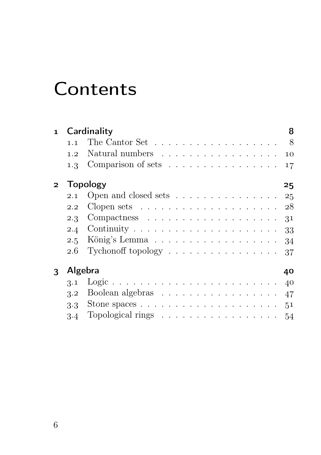## **Contents**

| $\mathbf{1}$   |                  | Cardinality                                                          | 8  |
|----------------|------------------|----------------------------------------------------------------------|----|
|                | 1.1              | The Cantor Set $\dots \dots \dots \dots \dots \dots \dots$ 8         |    |
|                | 1.2 <sub>1</sub> | Natural numbers 10                                                   |    |
|                |                  | 1.3 Comparison of sets                                               | 17 |
| $\overline{2}$ |                  | <b>Topology</b>                                                      | 25 |
|                | 2.1              | Open and closed sets $\dots \dots \dots \dots \dots \dots \dots$ 25  |    |
|                | 2.2              | Clopen sets $\ldots \ldots \ldots \ldots \ldots \ldots \ldots 28$    |    |
|                |                  |                                                                      | 31 |
|                |                  |                                                                      | 33 |
|                | 2.5              |                                                                      | 34 |
|                | 2.6              | Tychonoff topology $\dots \dots \dots \dots \dots \dots \dots$ 37    |    |
| Algebra<br>3   |                  |                                                                      | 40 |
|                | 3.1              |                                                                      |    |
|                | 3.2              | Boolean algebras                                                     | 47 |
|                | $3.3 -$          | Stone spaces $\ldots \ldots \ldots \ldots \ldots \ldots \ldots 51$   |    |
|                |                  | 3.4 Topological rings $\ldots \ldots \ldots \ldots \ldots \ldots 54$ |    |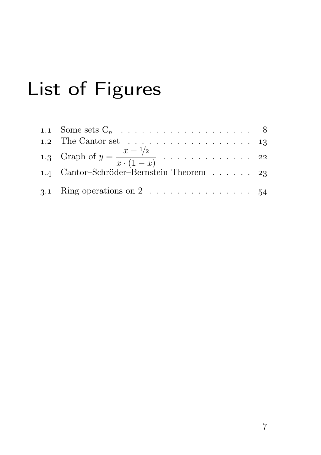# List of Figures

| 1.2 The Cantor set $\ldots \ldots \ldots \ldots \ldots \ldots 13$ |  |
|-------------------------------------------------------------------|--|
|                                                                   |  |
| 1.4 Cantor-Schröder-Bernstein Theorem 23                          |  |
| 3.1 Ring operations on 2 54                                       |  |
|                                                                   |  |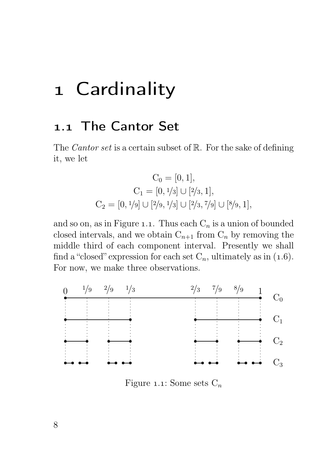## 1 Cardinality

### 1.1 The Cantor Set

The *Cantor set* is a certain subset of  $\mathbb{R}$ . For the sake of defining it, we let

$$
C_0 = [0, 1],
$$
  
\n
$$
C_1 = [0, \frac{1}{3}] \cup [\frac{2}{3}, 1],
$$
  
\n
$$
C_2 = [0, \frac{1}{9}] \cup [\frac{2}{9}, \frac{1}{3}] \cup [\frac{2}{3}, \frac{7}{9}] \cup [\frac{8}{9}, 1],
$$

and so on, as in Figure 1.1. Thus each  $C_n$  is a union of bounded closed intervals, and we obtain  $C_{n+1}$  from  $C_n$  by removing the middle third of each component interval. Presently we shall find a "closed" expression for each set  $C_n$ , ultimately as in (1.6). For now, we make three observations.



Figure 1.1: Some sets  $C_n$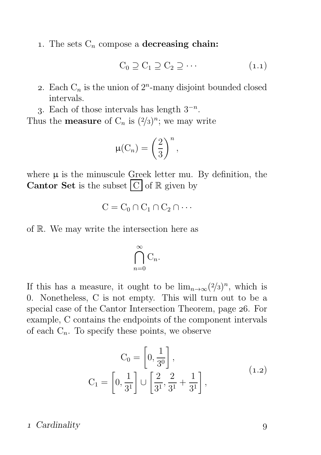1. The sets  $C_n$  compose a decreasing chain:

$$
C_0 \supseteq C_1 \supseteq C_2 \supseteq \cdots \tag{1.1}
$$

- 2. Each  $C_n$  is the union of  $2^n$ -many disjoint bounded closed intervals.
- 3. Each of those intervals has length  $3^{-n}$ .

Thus the **measure** of  $C_n$  is  $(2/3)^n$ ; we may write

$$
\mu(C_n) = \left(\frac{2}{3}\right)^n,
$$

where  $\mu$  is the minuscule Greek letter mu. By definition, the **Cantor Set** is the subset  $|C|$  of  $\mathbb{R}$  given by

$$
C = C_0 \cap C_1 \cap C_2 \cap \cdots
$$

of R. We may write the intersection here as

$$
\bigcap_{n=0}^{\infty} \mathrm{C}_n.
$$

If this has a measure, it ought to be  $\lim_{n\to\infty} (2/3)^n$ , which is 0. Nonetheless, C is not empty. This will turn out to be a special case of the Cantor Intersection Theorem, page 26. For example, C contains the endpoints of the component intervals of each  $C_n$ . To specify these points, we observe

$$
C_0 = \left[0, \frac{1}{3^0}\right],
$$
  
\n
$$
C_1 = \left[0, \frac{1}{3^1}\right] \cup \left[\frac{2}{3^1}, \frac{2}{3^1} + \frac{1}{3^1}\right],
$$
\n(1.2)

#### 1 Cardinality 9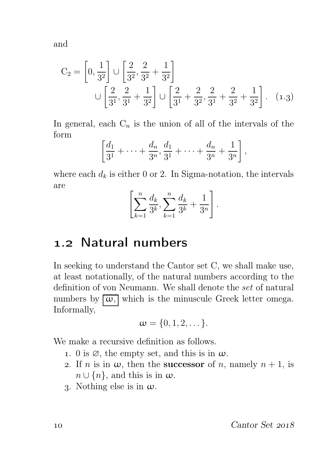and

$$
C_2 = \left[0, \frac{1}{3^2}\right] \cup \left[\frac{2}{3^2}, \frac{2}{3^2} + \frac{1}{3^2}\right]
$$
  

$$
\cup \left[\frac{2}{3^1}, \frac{2}{3^1} + \frac{1}{3^2}\right] \cup \left[\frac{2}{3^1} + \frac{2}{3^2}, \frac{2}{3^1} + \frac{2}{3^2} + \frac{1}{3^2}\right].
$$
 (1.3)

In general, each  $C_n$  is the union of all of the intervals of the form

$$
\left[\frac{d_1}{3^1} + \cdots + \frac{d_n}{3^n}, \frac{d_1}{3^1} + \cdots + \frac{d_n}{3^n} + \frac{1}{3^n}\right],
$$

where each  $d_k$  is either 0 or 2. In Sigma-notation, the intervals are

$$
\left[\sum_{k=1}^{n} \frac{d_k}{3^k}, \sum_{k=1}^{n} \frac{d_k}{3^k} + \frac{1}{3^n}\right].
$$

## 1.2 Natural numbers

In seeking to understand the Cantor set C, we shall make use, at least notationally, of the natural numbers according to the definition of von Neumann. We shall denote the set of natural numbers by  $\lceil \omega \rceil$  which is the minuscule Greek letter omega. Informally,

$$
\omega = \{0, 1, 2, \dots\}.
$$

We make a recursive definition as follows.

- 1. 0 is  $\emptyset$ , the empty set, and this is in  $\omega$ .
- 2. If n is in  $\omega$ , then the **successor** of n, namely  $n + 1$ , is  $n \cup \{n\}$ , and this is in  $\omega$ .
- 3. Nothing else is in  $\omega$ .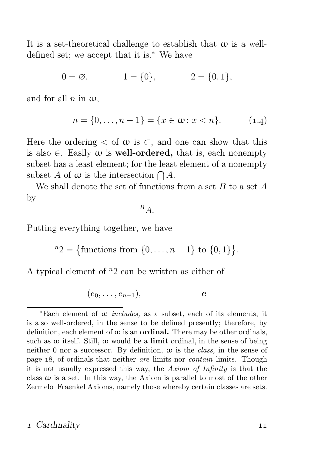It is a set-theoretical challenge to establish that  $\omega$  is a welldefined set; we accept that it is.<sup>∗</sup> We have

$$
0 = \emptyset, \qquad 1 = \{0\}, \qquad 2 = \{0, 1\},
$$

and for all n in  $\omega$ ,

$$
n = \{0, \dots, n - 1\} = \{x \in \omega : x < n\}.\tag{1.4}
$$

Here the ordering  $\lt$  of  $\omega$  is  $\lt$ , and one can show that this is also  $\in$ . Easily  $\omega$  is **well-ordered**, that is, each nonempty subset has a least element; for the least element of a nonempty subset A of  $\omega$  is the intersection  $\bigcap A$ .

We shall denote the set of functions from a set  $B$  to a set  $A$ by

 $B_{A}$ .

Putting everything together, we have

 ${}^{n}2 = {\text{functions from } \{0, ..., n-1\} \text{ to } \{0, 1\}}.$ 

A typical element of  $n_2$  can be written as either of

 $(e_0, \ldots, e_{n-1}),$  e

#### 1 Cardinality 11

<sup>\*</sup>Each element of  $\omega$  *includes*, as a subset, each of its elements; it is also well-ordered, in the sense to be defined presently; therefore, by definition, each element of  $\omega$  is an **ordinal.** There may be other ordinals, such as  $\omega$  itself. Still,  $\omega$  would be a **limit** ordinal, in the sense of being neither 0 nor a successor. By definition,  $\omega$  is the *class*, in the sense of page 18, of ordinals that neither are limits nor *contain* limits. Though it is not usually expressed this way, the Axiom of Infinity is that the class  $\omega$  is a set. In this way, the Axiom is parallel to most of the other Zermelo–Fraenkel Axioms, namely those whereby certain classes are sets.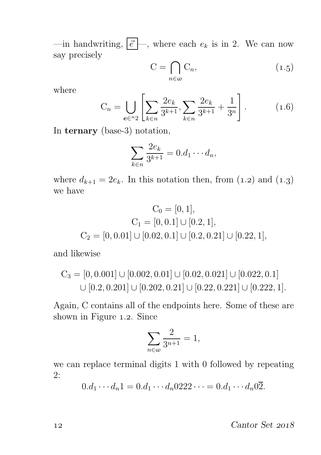—in handwriting,  $\boxed{\vec{e}}$  —, where each  $e_k$  is in 2. We can now say precisely

$$
C = \bigcap_{n \in \omega} C_n,\tag{1.5}
$$

where

$$
C_n = \bigcup_{e \in {}^n2} \left[ \sum_{k \in n} \frac{2e_k}{3^{k+1}}, \sum_{k \in {}^n} \frac{2e_k}{3^{k+1}} + \frac{1}{3^n} \right].
$$
 (1.6)

In ternary (base-3) notation,

$$
\sum_{k \in n} \frac{2e_k}{3^{k+1}} = 0.d_1 \cdots d_n,
$$

where  $d_{k+1} = 2e_k$ . In this notation then, from  $(1.2)$  and  $(1.3)$ we have

$$
C_0 = [0, 1],
$$
  
\n
$$
C_1 = [0, 0.1] \cup [0.2, 1],
$$
  
\n
$$
C_2 = [0, 0.01] \cup [0.02, 0.1] \cup [0.2, 0.21] \cup [0.22, 1],
$$

and likewise

$$
C_3 = [0, 0.001] \cup [0.002, 0.01] \cup [0.02, 0.021] \cup [0.022, 0.1]
$$
  

$$
\cup [0.2, 0.201] \cup [0.202, 0.21] \cup [0.22, 0.221] \cup [0.222, 1].
$$

Again, C contains all of the endpoints here. Some of these are shown in Figure 1.2. Since

$$
\sum_{n\in\omega}\frac{2}{3^{n+1}}=1,
$$

we can replace terminal digits 1 with 0 followed by repeating 2:

 $0.d_1 \cdots d_n 1 = 0.d_1 \cdots d_n 0222 \cdots = 0.d_1 \cdots d_n 02.$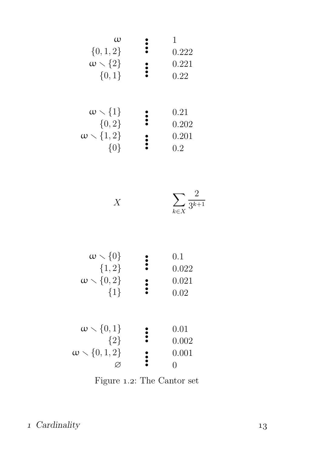| $\omega$                   | 1     |
|----------------------------|-------|
| $\{0,1,2\}$                | 222   |
| $\omega \setminus \{2\}$   | 0.222 |
| $\{0,1\}$                  | 0.221 |
| $\{0,1\}$                  | 0.22  |
| $\omega \setminus \{1\}$   | 0.21  |
| $\{0,2\}$                  | 0.202 |
| $\omega \setminus \{1,2\}$ | 0.201 |
| $\{0\}$                    | 0.201 |

| $\sum_{\mathbf{v}} 3^{\overline{k+1}}$ |
|----------------------------------------|
| $k \in X$                              |

| $\omega \setminus \{0\}$<br>${1,2}$<br>$\omega \setminus \{0,2\}$<br>${1}$ | 0.1<br>0.022<br>0.021<br>0.02 |
|----------------------------------------------------------------------------|-------------------------------|
| $\omega \setminus \{0,1\}$<br>${2}$<br>$\omega \setminus \{0,1,2\}$        | 0.01<br>0.002<br>0.001        |

Figure 1.2: The Cantor set  $% \left( \mathcal{N}\right)$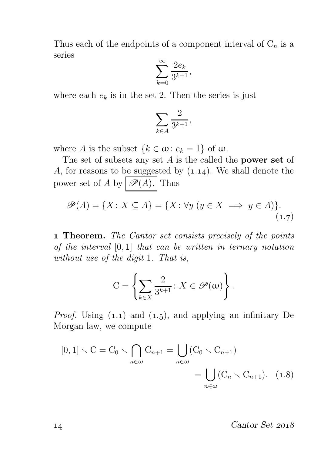Thus each of the endpoints of a component interval of  $C_n$  is a series

$$
\sum_{k=0}^{\infty} \frac{2e_k}{3^{k+1}},
$$

where each  $e_k$  is in the set 2. Then the series is just

$$
\sum_{k\in A}\frac{2}{3^{k+1}},
$$

where A is the subset  $\{k \in \omega : e_k = 1\}$  of  $\omega$ .

The set of subsets any set  $A$  is the called the **power set** of A, for reasons to be suggested by  $(1.14)$ . We shall denote the power set of A by  $\mathscr{P}(A)$ . Thus

$$
\mathscr{P}(A) = \{ X \colon X \subseteq A \} = \{ X \colon \forall y \ (y \in X \implies y \in A) \}.
$$
\n<sup>(1.7)</sup>

**1 Theorem.** The Cantor set consists precisely of the points of the interval  $[0, 1]$  that can be written in ternary notation without use of the digit 1. That is,

$$
C = \left\{ \sum_{k \in X} \frac{2}{3^{k+1}} \colon X \in \mathcal{P}(\omega) \right\}.
$$

*Proof.* Using  $(1.1)$  and  $(1.5)$ , and applying an infinitary De Morgan law, we compute

$$
[0,1] \setminus C = C_0 \setminus \bigcap_{n \in \omega} C_{n+1} = \bigcup_{n \in \omega} (C_0 \setminus C_{n+1})
$$
  
= 
$$
\bigcup_{n \in \omega} (C_n \setminus C_{n+1}). \quad (1.8)
$$

14 Cantor Set 2018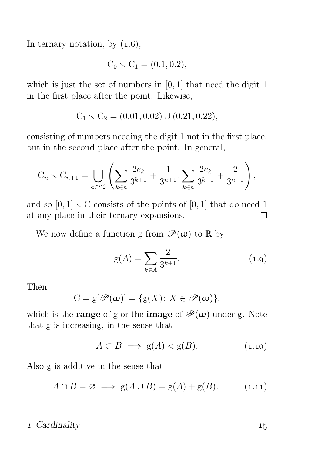In ternary notation, by  $(1.6)$ ,

$$
C_0 \setminus C_1 = (0.1, 0.2),
$$

which is just the set of numbers in  $[0, 1]$  that need the digit 1 in the first place after the point. Likewise,

$$
C_1 \setminus C_2 = (0.01, 0.02) \cup (0.21, 0.22),
$$

consisting of numbers needing the digit 1 not in the first place, but in the second place after the point. In general,

$$
C_n \setminus C_{n+1} = \bigcup_{e \in {}^{n_2}} \left( \sum_{k \in n} \frac{2e_k}{3^{k+1}} + \frac{1}{3^{n+1}}, \sum_{k \in n} \frac{2e_k}{3^{k+1}} + \frac{2}{3^{n+1}} \right),
$$

and so  $[0, 1] \setminus C$  consists of the points of  $[0, 1]$  that do need 1 at any place in their ternary expansions.  $\Box$ 

We now define a function g from  $\mathscr{P}(\omega)$  to R by

$$
g(A) = \sum_{k \in A} \frac{2}{3^{k+1}}.
$$
 (1.9)

Then

$$
C = g[\mathscr{P}(\omega)] = \{g(X) \colon X \in \mathscr{P}(\omega)\},\
$$

which is the **range** of g or the **image** of  $\mathcal{P}(\omega)$  under g. Note that g is increasing, in the sense that

 $A \subset B \implies g(A) < g(B).$  (1.10)

Also g is additive in the sense that

$$
A \cap B = \varnothing \implies g(A \cup B) = g(A) + g(B). \tag{1.11}
$$

#### 1 Cardinality 15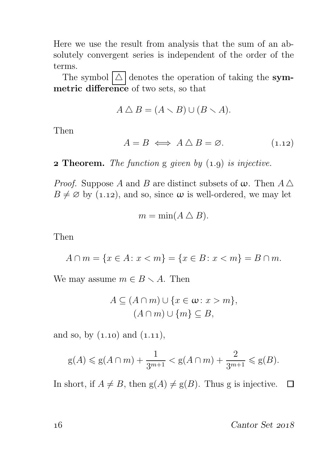Here we use the result from analysis that the sum of an absolutely convergent series is independent of the order of the terms.

The symbol  $\Delta$  denotes the operation of taking the symmetric difference of two sets, so that

$$
A \triangle B = (A \setminus B) \cup (B \setminus A).
$$

Then

$$
A = B \iff A \bigtriangleup B = \emptyset. \tag{1.12}
$$

**2 Theorem.** The function g given by  $(1.9)$  is injective.

*Proof.* Suppose A and B are distinct subsets of  $\omega$ . Then  $A \triangle$  $B \neq \emptyset$  by (1.12), and so, since  $\omega$  is well-ordered, we may let

$$
m = \min(A \bigtriangleup B).
$$

Then

$$
A \cap m = \{x \in A : x < m\} = \{x \in B : x < m\} = B \cap m.
$$

We may assume  $m \in B \setminus A$ . Then

$$
A \subseteq (A \cap m) \cup \{x \in \omega : x > m\},\
$$

$$
(A \cap m) \cup \{m\} \subseteq B,
$$

and so, by  $(1.10)$  and  $(1.11)$ ,

$$
g(A) \le g(A \cap m) + \frac{1}{3^{m+1}} < g(A \cap m) + \frac{2}{3^{m+1}} \le g(B).
$$

In short, if  $A \neq B$ , then  $g(A) \neq g(B)$ . Thus g is injective.

16 Cantor Set 2018

 $\Box$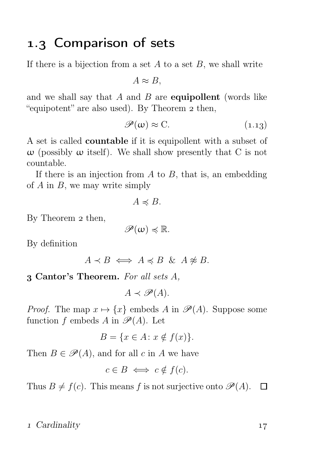## 1.3 Comparison of sets

If there is a bijection from a set  $A$  to a set  $B$ , we shall write

 $A \approx B$ .

and we shall say that  $A$  and  $B$  are **equipollent** (words like "equipotent" are also used). By Theorem 2 then,

$$
\mathscr{P}(\omega) \approx C. \tag{1.13}
$$

A set is called countable if it is equipollent with a subset of  $ω$  (possibly  $ω$  itself). We shall show presently that C is not countable.

If there is an injection from  $A$  to  $B$ , that is, an embedding of  $A$  in  $B$ , we may write simply

$$
A \preccurlyeq B.
$$

By Theorem 2 then,

$$
\mathscr{P}(\omega) \preccurlyeq \mathbb{R}.
$$

By definition

$$
A \prec B \iff A \preccurlyeq B \And A \not\approx B.
$$

Cantor's Theorem. For all sets A,

 $A \prec \mathscr{P}(A)$ .

*Proof.* The map  $x \mapsto \{x\}$  embeds A in  $\mathscr{P}(A)$ . Suppose some function f embeds A in  $\mathscr{P}(A)$ . Let

$$
B = \{ x \in A \colon x \notin f(x) \}.
$$

Then  $B \in \mathcal{P}(A)$ , and for all c in A we have

$$
c \in B \iff c \notin f(c).
$$

Thus  $B \neq f(c)$ . This means f is not surjective onto  $\mathscr{P}(A)$ .  $\Box$ 

#### 1 Cardinality 17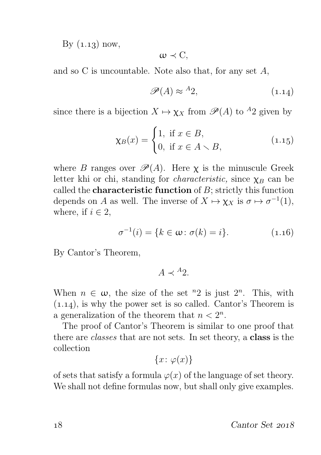By  $(1.13)$  now,

$$
\omega \prec C,
$$

and so C is uncountable. Note also that, for any set A,

$$
\mathscr{P}(A) \approx {}^{A_2}, \tag{1.14}
$$

since there is a bijection  $X \mapsto \chi_X$  from  $\mathscr{P}(A)$  to <sup>A</sup>2 given by

$$
\chi_B(x) = \begin{cases} 1, & \text{if } x \in B, \\ 0, & \text{if } x \in A \setminus B, \end{cases} \tag{1.15}
$$

where B ranges over  $\mathscr{P}(A)$ . Here  $\chi$  is the minuscule Greek letter khi or chi, standing for *characteristic*, since  $\chi_B$  can be called the **characteristic function** of  $B$ ; strictly this function depends on A as well. The inverse of  $X \mapsto \chi_X$  is  $\sigma \mapsto \sigma^{-1}(1)$ , where, if  $i \in 2$ ,

$$
\sigma^{-1}(i) = \{k \in \omega : \sigma(k) = i\}.
$$
 (1.16)

By Cantor's Theorem,

$$
A \prec {}^A 2.
$$

When  $n \in \omega$ , the size of the set <sup>n</sup>2 is just  $2^n$ . This, with  $(1.14)$ , is why the power set is so called. Cantor's Theorem is a generalization of the theorem that  $n < 2<sup>n</sup>$ .

The proof of Cantor's Theorem is similar to one proof that there are classes that are not sets. In set theory, a class is the collection

$$
\{x\colon\varphi(x)\}
$$

of sets that satisfy a formula  $\varphi(x)$  of the language of set theory. We shall not define formulas now, but shall only give examples.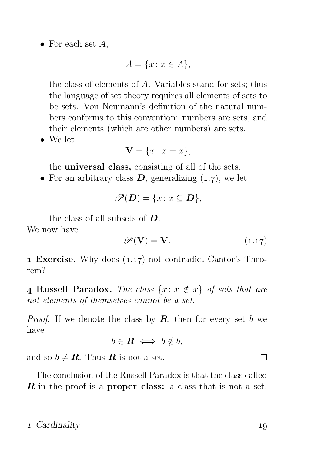• For each set  $A$ ,

$$
A = \{x \colon x \in A\},\
$$

the class of elements of A. Variables stand for sets; thus the language of set theory requires all elements of sets to be sets. Von Neumann's definition of the natural numbers conforms to this convention: numbers are sets, and their elements (which are other numbers) are sets.

• We let

$$
\mathbf{V} = \{x \colon x = x\},\
$$

the universal class, consisting of all of the sets.

• For an arbitrary class  $D$ , generalizing  $(1.7)$ , we let

$$
\mathscr{P}(\mathbf{D}) = \{x \colon x \subseteq \mathbf{D}\},\
$$

the class of all subsets of D.

We now have

$$
\mathscr{P}(\mathbf{V}) = \mathbf{V}.\tag{1.17}
$$

**1 Exercise.** Why does  $(1.17)$  not contradict Cantor's Theorem?

**4 Russell Paradox.** The class  $\{x: x \notin x\}$  of sets that are not elements of themselves cannot be a set.

*Proof.* If we denote the class by  $\mathbf{R}$ , then for every set b we have

$$
b\in \mathbf{R} \iff b\notin b,
$$

and so  $b \neq \mathbf{R}$ . Thus  $\mathbf{R}$  is not a set.

The conclusion of the Russell Paradox is that the class called  $\boldsymbol{R}$  in the proof is a **proper class:** a class that is not a set.

#### 1 Cardinality 19

 $\Box$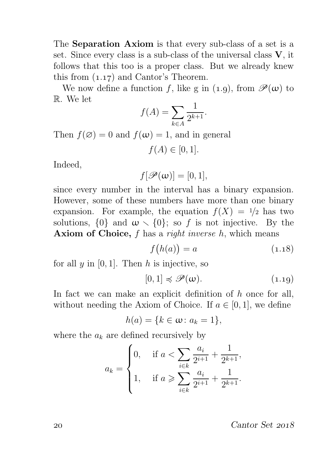The Separation Axiom is that every sub-class of a set is a set. Since every class is a sub-class of the universal class  $V$ , it follows that this too is a proper class. But we already knew this from  $(1.17)$  and Cantor's Theorem.

We now define a function f, like g in (1.9), from  $\mathscr{P}(\omega)$  to R. We let

$$
f(A) = \sum_{k \in A} \frac{1}{2^{k+1}}.
$$

Then  $f(\emptyset) = 0$  and  $f(\omega) = 1$ , and in general

$$
f(A) \in [0,1].
$$

Indeed,

$$
f[\mathscr{P}(\omega)]=[0,1],
$$

since every number in the interval has a binary expansion. However, some of these numbers have more than one binary expansion. For example, the equation  $f(X) = 1/2$  has two solutions,  $\{0\}$  and  $\omega \setminus \{0\}$ ; so f is not injective. By the **Axiom of Choice,**  $f$  has a *right inverse h*, which means

$$
f(h(a)) = a \tag{1.18}
$$

for all  $y$  in [0, 1]. Then  $h$  is injective, so

$$
[0,1] \preccurlyeq \mathscr{P}(\omega). \tag{1.19}
$$

In fact we can make an explicit definition of  $h$  once for all, without needing the Axiom of Choice. If  $a \in [0,1]$ , we define

$$
h(a) = \{k \in \omega \colon a_k = 1\},\
$$

where the  $a_k$  are defined recursively by

$$
a_k = \begin{cases} 0, & \text{if } a < \sum_{i \in k} \frac{a_i}{2^{i+1}} + \frac{1}{2^{k+1}}, \\ 1, & \text{if } a \ge \sum_{i \in k} \frac{a_i}{2^{i+1}} + \frac{1}{2^{k+1}}. \end{cases}
$$

20 Cantor Set 2018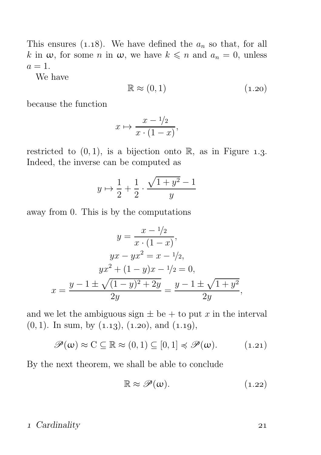This ensures (1.18). We have defined the  $a_n$  so that, for all k in  $\omega$ , for some n in  $\omega$ , we have  $k \leq n$  and  $a_n = 0$ , unless  $a=1$ .

We have

$$
\mathbb{R} \approx (0,1) \tag{1.20}
$$

because the function

$$
x \mapsto \frac{x - 1/2}{x \cdot (1 - x)},
$$

restricted to  $(0, 1)$ , is a bijection onto R, as in Figure 1.3. Indeed, the inverse can be computed as

$$
y \mapsto \frac{1}{2} + \frac{1}{2} \cdot \frac{\sqrt{1+y^2} - 1}{y}
$$

away from 0. This is by the computations

$$
y = \frac{x - \frac{1}{2}}{x \cdot (1 - x)},
$$
  

$$
yx - yx^2 = x - \frac{1}{2},
$$
  

$$
yx^2 + (1 - y)x - \frac{1}{2} = 0,
$$
  

$$
x = \frac{y - 1 \pm \sqrt{(1 - y)^2 + 2y}}{2y} = \frac{y - 1 \pm \sqrt{1 + y^2}}{2y},
$$

and we let the ambiguous sign  $\pm$  be  $+$  to put x in the interval  $(0, 1)$ . In sum, by  $(1.13)$ ,  $(1.20)$ , and  $(1.19)$ ,

 $\mathscr{P}(\omega) \approx C \subseteq \mathbb{R} \approx (0,1) \subseteq [0,1] \leq \mathscr{P}(\omega).$  (1.21)

By the next theorem, we shall be able to conclude

$$
\mathbb{R} \approx \mathscr{P}(\omega). \tag{1.22}
$$

#### 1 Cardinality 21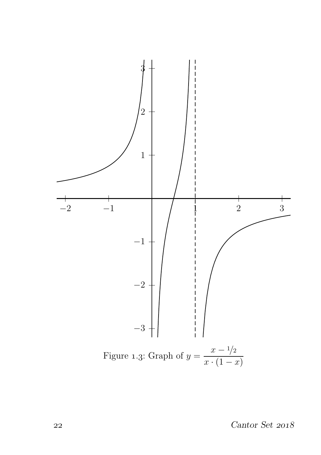

 $22$  Cantor Set  $2018$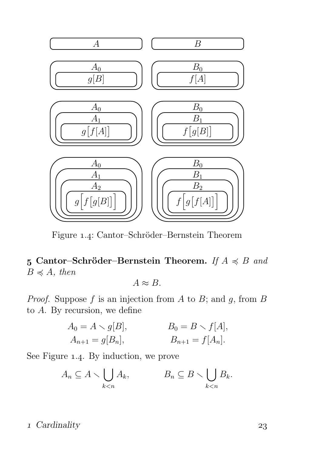

Figure 1.4: Cantor–Schröder–Bernstein Theorem

5 Cantor–Schröder–Bernstein Theorem. If  $A \preccurlyeq B$  and  $B \preccurlyeq A$ , then

 $A \approx B$ .

*Proof.* Suppose  $f$  is an injection from  $A$  to  $B$ ; and  $g$ , from  $B$ to A. By recursion, we define

$$
A_0 = A \setminus g[B],
$$
  
\n $A_{n+1} = g[B_n],$   
\n $B_0 = B \setminus f[A],$   
\n $B_{n+1} = f[A_n].$ 

See Figure 1.4. By induction, we prove

$$
A_n \subseteq A \setminus \bigcup_{k < n} A_k, \qquad B_n \subseteq B \setminus \bigcup_{k < n} B_k.
$$

#### 1 Cardinality 23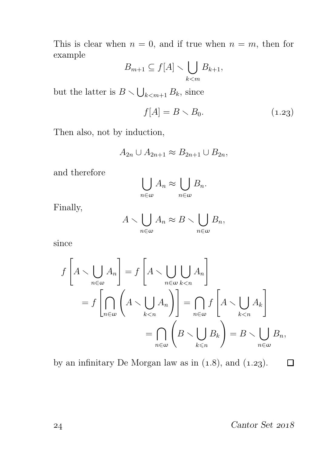This is clear when  $n = 0$ , and if true when  $n = m$ , then for example

$$
B_{m+1} \subseteq f[A] \setminus \bigcup_{k < m} B_{k+1},
$$

but the latter is  $B \setminus \bigcup_{k < m+1} B_k$ , since

$$
f[A] = B \times B_0. \tag{1.23}
$$

Then also, not by induction,

$$
A_{2n} \cup A_{2n+1} \approx B_{2n+1} \cup B_{2n},
$$

and therefore

$$
\bigcup_{n\in\omega}A_n\approx\bigcup_{n\in\omega}B_n.
$$

Finally,

$$
A \setminus \bigcup_{n \in \omega} A_n \approx B \setminus \bigcup_{n \in \omega} B_n,
$$

since

$$
f\left[A \setminus \bigcup_{n \in \omega} A_n\right] = f\left[A \setminus \bigcup_{n \in \omega} \bigcup_{k < n} A_n\right]
$$

$$
= f\left[\bigcap_{n \in \omega} \left(A \setminus \bigcup_{k < n} A_n\right)\right] = \bigcap_{n \in \omega} f\left[A \setminus \bigcup_{k < n} A_k\right]
$$

$$
= \bigcap_{n \in \omega} \left(B \setminus \bigcup_{k < n} B_k\right) = B \setminus \bigcup_{n \in \omega} B_n,
$$

by an infinitary De Morgan law as in  $(1.8)$ , and  $(1.23)$ .

Cantor Set

 $\Box$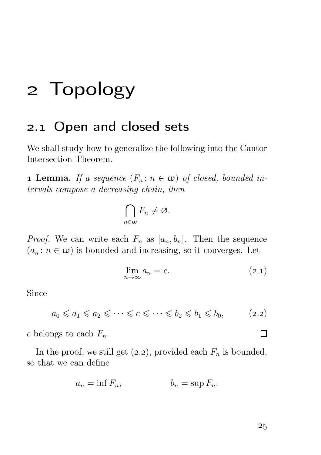## Topology

### 2.1 Open and closed sets

We shall study how to generalize the following into the Cantor Intersection Theorem.

**1 Lemma.** If a sequence  $(F_n: n \in \omega)$  of closed, bounded intervals compose a decreasing chain, then

$$
\bigcap_{n\in\omega}F_n\neq\varnothing.
$$

*Proof.* We can write each  $F_n$  as  $[a_n, b_n]$ . Then the sequence  $(a_n : n \in \omega)$  is bounded and increasing, so it converges. Let

$$
\lim_{n \to \infty} a_n = c. \tag{2.1}
$$

Since

 $a_0 \le a_1 \le a_2 \le \cdots \le c \le \cdots \le b_2 \le b_1 \le b_0,$  (2.2)

c belongs to each  $F_n$ .

In the proof, we still get  $(2.2)$ , provided each  $F_n$  is bounded, so that we can define

$$
a_n = \inf F_n, \qquad \qquad b_n = \sup F_n.
$$

 $\Box$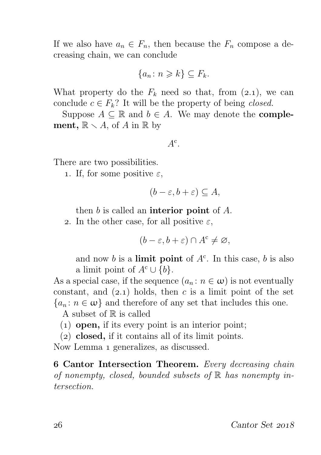If we also have  $a_n \in F_n$ , then because the  $F_n$  compose a decreasing chain, we can conclude

$$
\{a_n \colon n \geq k\} \subseteq F_k.
$$

What property do the  $F_k$  need so that, from (2.1), we can conclude  $c \in F_k$ ? It will be the property of being *closed*.

Suppose  $A \subseteq \mathbb{R}$  and  $b \in A$ . We may denote the **complement**,  $\mathbb{R} \setminus A$ , of A in  $\mathbb{R}$  by

$$
A^{\rm c}.
$$

There are two possibilities.

1. If, for some positive  $\varepsilon$ ,

$$
(b - \varepsilon, b + \varepsilon) \subseteq A,
$$

then  $b$  is called an **interior point** of  $A$ .

2. In the other case, for all positive  $\varepsilon$ ,

$$
(b - \varepsilon, b + \varepsilon) \cap A^c \neq \varnothing,
$$

and now b is a **limit point** of  $A<sup>c</sup>$ . In this case, b is also a limit point of  $A^c \cup \{b\}.$ 

As a special case, if the sequence  $(a_n : n \in \omega)$  is not eventually constant, and  $(2.1)$  holds, then c is a limit point of the set  ${a_n : n \in \omega}$  and therefore of any set that includes this one.

A subset of  $\mathbb R$  is called

- $(1)$  open, if its every point is an interior point;
- $(2)$  closed, if it contains all of its limit points.

Now Lemma 1 generalizes, as discussed.

6 Cantor Intersection Theorem. Every decreasing chain of nonempty, closed, bounded subsets of  $\mathbb R$  has nonempty intersection.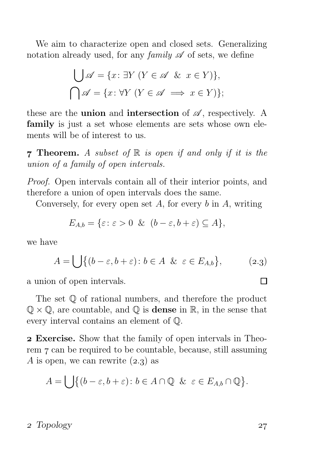We aim to characterize open and closed sets. Generalizing notation already used, for any family  $\mathscr A$  of sets, we define

$$
\bigcup \mathscr{A} = \{x \colon \exists Y \ (Y \in \mathscr{A} \ \& \ x \in Y)\},\
$$

$$
\bigcap \mathscr{A} = \{x \colon \forall Y \ (Y \in \mathscr{A} \implies x \in Y)\};
$$

these are the **union** and **intersection** of  $\mathscr A$ , respectively. A family is just a set whose elements are sets whose own elements will be of interest to us.

**7 Theorem.** A subset of  $\mathbb R$  is open if and only if it is the union of a family of open intervals.

Proof. Open intervals contain all of their interior points, and therefore a union of open intervals does the same.

Conversely, for every open set A, for every  $b$  in A, writing

$$
E_{A,b} = \{ \varepsilon \colon \varepsilon > 0 \ \& \ (b - \varepsilon, b + \varepsilon) \subseteq A \},
$$

we have

$$
A = \bigcup \{ (b - \varepsilon, b + \varepsilon) \colon b \in A \ \& \ \varepsilon \in E_{A, b} \}, \tag{2.3}
$$

a union of open intervals.

The set Q of rational numbers, and therefore the product  $\mathbb{Q} \times \mathbb{Q}$ , are countable, and  $\mathbb{Q}$  is **dense** in  $\mathbb{R}$ , in the sense that every interval contains an element of Q.

 Exercise. Show that the family of open intervals in Theorem 7 can be required to be countable, because, still assuming A is open, we can rewrite  $(2.3)$  as

$$
A = \bigcup \{ (b - \varepsilon, b + \varepsilon) \colon b \in A \cap \mathbb{Q} \& \varepsilon \in E_{A,b} \cap \mathbb{Q} \}.
$$

#### 2 Topology 27

П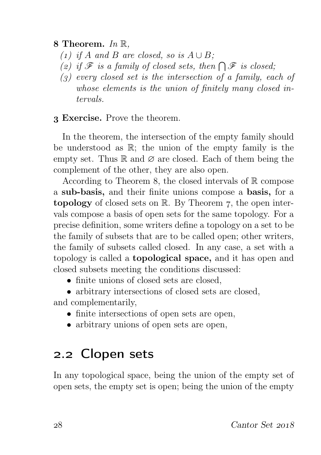8 Theorem.  $In \mathbb{R}$ ,

- (1) if A and B are closed, so is  $A \cup B$ ;
- (2) if  $\mathscr F$  is a family of closed sets, then  $\bigcap \mathscr F$  is closed;
- $\left( \rho \right)$  every closed set is the intersection of a family, each of whose elements is the union of finitely many closed intervals.

#### Exercise. Prove the theorem.

In the theorem, the intersection of the empty family should be understood as R; the union of the empty family is the empty set. Thus  $\mathbb R$  and  $\varnothing$  are closed. Each of them being the complement of the other, they are also open.

According to Theorem 8, the closed intervals of  $\mathbb R$  compose a sub-basis, and their finite unions compose a basis, for a topology of closed sets on  $\mathbb{R}$ . By Theorem 7, the open intervals compose a basis of open sets for the same topology. For a precise definition, some writers define a topology on a set to be the family of subsets that are to be called open; other writers, the family of subsets called closed. In any case, a set with a topology is called a topological space, and it has open and closed subsets meeting the conditions discussed:

- finite unions of closed sets are closed.
- arbitrary intersections of closed sets are closed,

and complementarily,

- finite intersections of open sets are open,
- arbitrary unions of open sets are open,

## 2.2 Clopen sets

In any topological space, being the union of the empty set of open sets, the empty set is open; being the union of the empty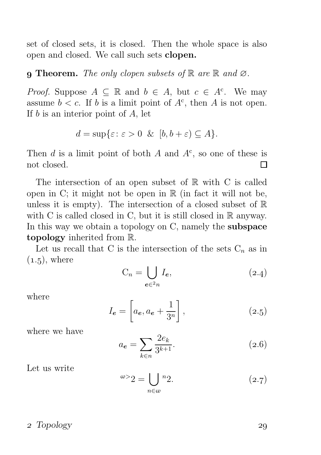set of closed sets, it is closed. Then the whole space is also open and closed. We call such sets clopen.

#### **q Theorem.** The only clopen subsets of  $\mathbb{R}$  are  $\mathbb{R}$  and  $\emptyset$ .

*Proof.* Suppose  $A \subseteq \mathbb{R}$  and  $b \in A$ , but  $c \in A^c$ . We may assume  $b < c$ . If b is a limit point of  $A<sup>c</sup>$ , then A is not open. If  $b$  is an interior point of  $A$ , let

$$
d = \sup \{ \varepsilon \colon \varepsilon > 0 \ \& \ [b, b + \varepsilon) \subseteq A \}.
$$

Then  $d$  is a limit point of both  $A$  and  $A<sup>c</sup>$ , so one of these is not closed. П

The intersection of an open subset of  $\mathbb R$  with C is called open in C; it might not be open in  $\mathbb R$  (in fact it will not be, unless it is empty). The intersection of a closed subset of  $\mathbb R$ with C is called closed in C, but it is still closed in  $\mathbb R$  anyway. In this way we obtain a topology on C, namely the **subspace** topology inherited from R.

Let us recall that C is the intersection of the sets  $C_n$  as in  $(1.5)$ , where

$$
C_n = \bigcup_{e \in 2n} I_e,\tag{2.4}
$$

where

$$
I_e = \left[ a_e, a_e + \frac{1}{3^n} \right],\tag{2.5}
$$

where we have

$$
a_e = \sum_{k \in n} \frac{2e_k}{3^{k+1}}.
$$
\n(2.6)

Let us write

$$
\omega > 2 = \bigcup_{n \in \omega} \binom{n}{2}.\tag{2.7}
$$

#### 2 Topology 29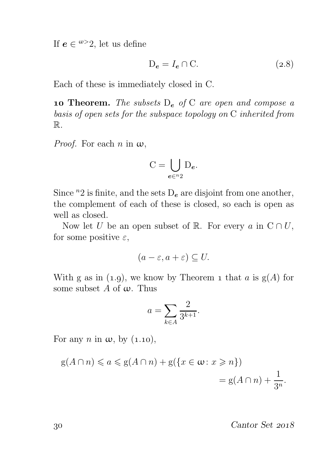If  $e \in \omega > 2$ , let us define

$$
D_e = I_e \cap C. \tag{2.8}
$$

Each of these is immediately closed in C.

**10 Theorem.** The subsets  $D_e$  of C are open and compose a basis of open sets for the subspace topology on C inherited from R.

*Proof.* For each n in  $\omega$ ,

$$
C = \bigcup_{e \in {}^{n_2}} D_e.
$$

Since  ${}^{n}2$  is finite, and the sets  $D_{e}$  are disjoint from one another, the complement of each of these is closed, so each is open as well as closed.

Now let U be an open subset of R. For every a in  $C \cap U$ , for some positive  $\varepsilon$ ,

$$
(a - \varepsilon, a + \varepsilon) \subseteq U.
$$

With g as in (1.9), we know by Theorem 1 that a is  $g(A)$  for some subset A of  $\omega$ . Thus

$$
a = \sum_{k \in A} \frac{2}{3^{k+1}}.
$$

For any n in  $\omega$ , by (1.10),

$$
g(A \cap n) \leq a \leq g(A \cap n) + g(\lbrace x \in \omega : x \geq n \rbrace)
$$
  
=  $g(A \cap n) + \frac{1}{3^n}$ .

30 Cantor Set 2018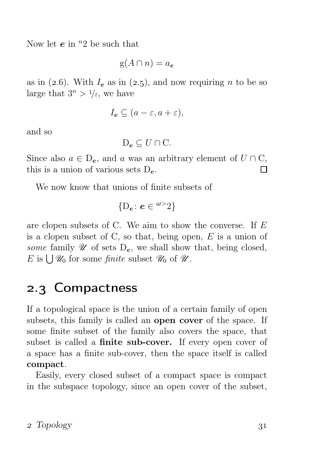Now let  $e$  in  $n^2$  be such that

$$
g(A \cap n) = a_e
$$

as in (2.6). With  $I_e$  as in (2.5), and now requiring n to be so large that  $3^n > 1/\varepsilon$ , we have

$$
I_e \subseteq (a - \varepsilon, a + \varepsilon),
$$

and so

 $D_e \subseteq U \cap C$ .

Since also  $a \in D_e$ , and a was an arbitrary element of  $U \cap C$ , this is a union of various sets  $D_e$ . П

We now know that unions of finite subsets of

$$
\{D_e\colon e\in {}^{w>2}\}
$$

are clopen subsets of C. We aim to show the converse. If E is a clopen subset of C, so that, being open,  $E$  is a union of some family  $\mathscr U$  of sets  $D_e$ , we shall show that, being closed, E is  $\bigcup \mathcal{U}_0$  for some *finite* subset  $\mathcal{U}_0$  of  $\mathcal{U}$ .

## 2.3 Compactness

If a topological space is the union of a certain family of open subsets, this family is called an open cover of the space. If some finite subset of the family also covers the space, that subset is called a **finite sub-cover.** If every open cover of a space has a finite sub-cover, then the space itself is called compact.

Easily, every closed subset of a compact space is compact in the subspace topology, since an open cover of the subset,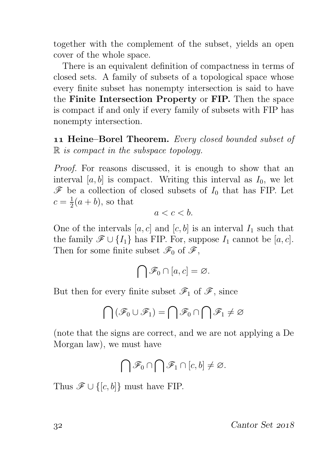together with the complement of the subset, yields an open cover of the whole space.

There is an equivalent definition of compactness in terms of closed sets. A family of subsets of a topological space whose every finite subset has nonempty intersection is said to have the Finite Intersection Property or FIP. Then the space is compact if and only if every family of subsets with FIP has nonempty intersection.

11 Heine–Borel Theorem. Every closed bounded subset of  $\mathbb R$  is compact in the subspace topology.

Proof. For reasons discussed, it is enough to show that an interval [a, b] is compact. Writing this interval as  $I_0$ , we let  $\mathscr F$  be a collection of closed subsets of  $I_0$  that has FIP. Let  $c=\frac{1}{2}$  $\frac{1}{2}(a+b)$ , so that

$$
a < c < b.
$$

One of the intervals  $[a, c]$  and  $[c, b]$  is an interval  $I_1$  such that the family  $\mathscr{F} \cup \{I_1\}$  has FIP. For, suppose  $I_1$  cannot be  $[a, c]$ . Then for some finite subset  $\mathscr{F}_0$  of  $\mathscr{F}$ ,

$$
\bigcap \mathscr{F}_0 \cap [a,c] = \varnothing.
$$

But then for every finite subset  $\mathscr{F}_1$  of  $\mathscr{F}_2$ , since

$$
\bigcap \left(\mathscr{F}_0 \cup \mathscr{F}_1\right) = \bigcap \mathscr{F}_0 \cap \bigcap \mathscr{F}_1 \neq \varnothing
$$

(note that the signs are correct, and we are not applying a De Morgan law), we must have

$$
\bigcap \mathscr{F}_0 \cap \bigcap \mathscr{F}_1 \cap [c,b] \neq \varnothing.
$$

Thus  $\mathscr{F} \cup \{[c, b]\}$  must have FIP.

 $\frac{32}{2018}$  Cantor Set 2018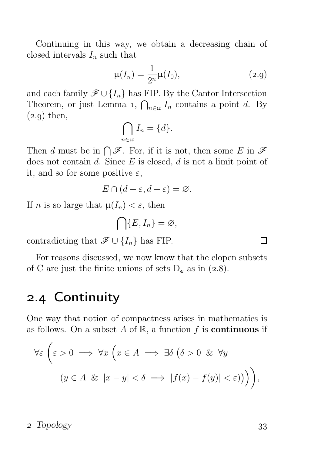Continuing in this way, we obtain a decreasing chain of closed intervals  $I_n$  such that

$$
\mu(I_n) = \frac{1}{2^n} \mu(I_0),
$$
\n(2.9)

and each family  $\mathscr{F} \cup \{I_n\}$  has FIP. By the Cantor Intersection Theorem, or just Lemma 1,  $\bigcap_{n\in\omega}I_n$  contains a point d. By  $(2.9)$  then,

$$
\bigcap_{n\in\omega}I_n=\{d\}.
$$

Then d must be in  $\bigcap \mathscr{F}$ . For, if it is not, then some E in  $\mathscr{F}$ does not contain  $d$ . Since  $E$  is closed,  $d$  is not a limit point of it, and so for some positive  $\varepsilon$ ,

$$
E \cap (d - \varepsilon, d + \varepsilon) = \varnothing.
$$

If *n* is so large that  $\mu(I_n) < \varepsilon$ , then

$$
\bigcap \{E, I_n\} = \varnothing,
$$

contradicting that  $\mathscr{F} \cup \{I_n\}$  has FIP.

For reasons discussed, we now know that the clopen subsets of C are just the finite unions of sets  $D_e$  as in (2.8).

### 2.4 Continuity

One way that notion of compactness arises in mathematics is as follows. On a subset A of  $\mathbb{R}$ , a function f is **continuous** if

$$
\forall \varepsilon \left( \varepsilon > 0 \implies \forall x \left( x \in A \implies \exists \delta \left( \delta > 0 \ \& \forall y \right) \right. \\
 \left. \left( y \in A \ \& \left| x - y \right| < \delta \implies \left| f(x) - f(y) \right| < \varepsilon \right) \right) \right),
$$

#### 2 Topology 33

 $\Box$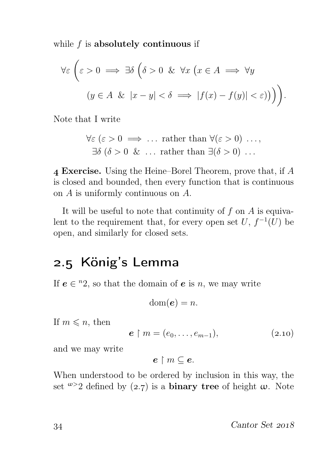while  $f$  is absolutely continuous if

$$
\forall \varepsilon \left( \varepsilon > 0 \implies \exists \delta \left( \delta > 0 \ \& \ \forall x \left( x \in A \implies \forall y \right) \right. \\
 \left. \left( y \in A \ \& \left| x - y \right| < \delta \implies \left| f(x) - f(y) \right| < \varepsilon \right) \right) \right).
$$

Note that I write

$$
\forall \varepsilon \ (\varepsilon > 0 \implies \dots \text{ rather than } \forall (\varepsilon > 0) \ \dots, \\ \exists \delta \ (\delta > 0 \ \& \ \dots \text{ rather than } \exists (\delta > 0) \ \dots \
$$

 Exercise. Using the Heine–Borel Theorem, prove that, if A is closed and bounded, then every function that is continuous on A is uniformly continuous on A.

It will be useful to note that continuity of  $f$  on  $A$  is equivalent to the requirement that, for every open set  $U, f^{-1}(U)$  be open, and similarly for closed sets.

## 2.5 König's Lemma

If  $e \in \mathbb{R}^2$ , so that the domain of e is n, we may write

$$
\operatorname{dom}(\boldsymbol{e})=n.
$$

If  $m \leq n$ , then

$$
e \restriction m = (e_0, \dots, e_{m-1}), \tag{2.10}
$$

and we may write

$$
e\restriction m\subseteq e.
$$

When understood to be ordered by inclusion in this way, the set  $\omega$  2 defined by (2.7) is a **binary tree** of height  $\omega$ . Note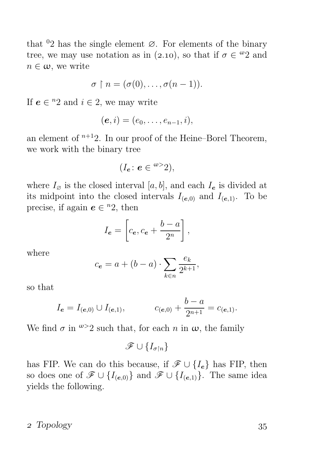that  $0<sup>2</sup>$  has the single element  $\varnothing$ . For elements of the binary tree, we may use notation as in (2.10), so that if  $\sigma \in \mathcal{Q}$  and  $n \in \omega$ , we write

$$
\sigma \restriction n = (\sigma(0), \ldots, \sigma(n-1)).
$$

If  $e \in {}^{n}2$  and  $i \in 2$ , we may write

$$
(\boldsymbol{e},i)=(e_0,\ldots,e_{n-1},i),
$$

an element of  $n+12$ . In our proof of the Heine–Borel Theorem, we work with the binary tree

$$
(I_e: e \in {}^{w>2}),
$$

where  $I_{\varnothing}$  is the closed interval [a, b], and each  $I_{e}$  is divided at its midpoint into the closed intervals  $I_{(e,0)}$  and  $I_{(e,1)}$ . To be precise, if again  $e \in {}^{n}2$ , then

$$
I_e = \left[c_e, c_e + \frac{b-a}{2^n}\right],
$$

where

$$
c_e = a + (b - a) \cdot \sum_{k \in n} \frac{e_k}{2^{k+1}},
$$

so that

$$
I_e = I_{(e,0)} \cup I_{(e,1)},
$$
  $c_{(e,0)} + \frac{b-a}{2^{n+1}} = c_{(e,1)}.$ 

We find  $\sigma$  in  $\omega > 2$  such that, for each n in  $\omega$ , the family

$$
\mathscr{F}\cup\{I_{\sigma\restriction n}\}
$$

has FIP. We can do this because, if  $\mathscr{F} \cup \{I_e\}$  has FIP, then so does one of  $\mathscr{F} \cup \{I_{(e,0)}\}$  and  $\mathscr{F} \cup \{I_{(e,1)}\}$ . The same idea yields the following.

#### 2 Topology 35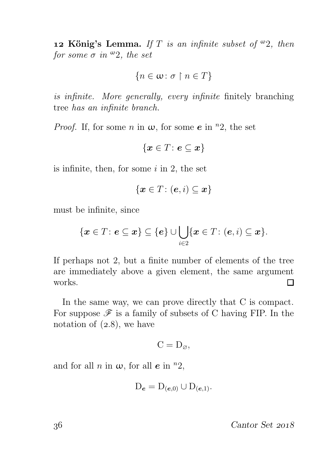**12 König's Lemma.** If T is an infinite subset of  $\omega_2$ , then for some  $\sigma$  in  $\infty$ 2, the set

$$
\{n\in\omega\colon\sigma\restriction n\in T\}
$$

is infinite. More generally, every infinite finitely branching tree has an infinite branch.

*Proof.* If, for some n in  $\omega$ , for some e in <sup>n</sup>2, the set

$$
\{\boldsymbol{x}\in T\colon\boldsymbol{e}\subseteq\boldsymbol{x}\}
$$

is infinite, then, for some  $i$  in 2, the set

$$
\{\boldsymbol{x}\in T\colon(\boldsymbol{e},i)\subseteq\boldsymbol{x}\}
$$

must be infinite, since

$$
\{\boldsymbol{x}\in T\colon\boldsymbol{e}\subseteq\boldsymbol{x}\}\subseteq\{\boldsymbol{e}\}\cup\bigcup_{i\in 2}\{\boldsymbol{x}\in T\colon(\boldsymbol{e},i)\subseteq\boldsymbol{x}\}.
$$

If perhaps not 2, but a finite number of elements of the tree are immediately above a given element, the same argument works.  $\Box$ 

In the same way, we can prove directly that C is compact. For suppose  $\mathscr F$  is a family of subsets of C having FIP. In the notation of  $(2.8)$ , we have

$$
C=D_{\varnothing},
$$

and for all n in  $\omega$ , for all e in  $n^2$ ,

$$
D_e = D_{(e,0)} \cup D_{(e,1)}.
$$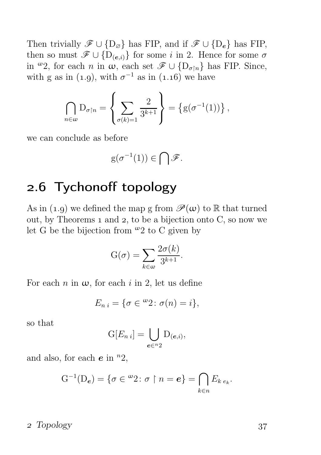Then trivially  $\mathscr{F} \cup {\{\mathcal{D}_{\varnothing}\}}$  has FIP, and if  $\mathscr{F} \cup {\{\mathcal{D}_{e}\}}$  has FIP, then so must  $\mathscr{F} \cup \{D_{(e,i)}\}$  for some i in 2. Hence for some  $\sigma$ in <sup>ω</sup>2, for each *n* in  $\omega$ , each set  $\mathscr{F} \cup {\{\mathcal{D}_{\sigma \nmid n}\}}$  has FIP. Since, with g as in (1.9), with  $\sigma^{-1}$  as in (1.16) we have

$$
\bigcap_{n\in\omega}\mathrm{D}_{\sigma\upharpoonright n}=\left\{\sum_{\sigma(k)=1}\frac{2}{3^{k+1}}\right\}=\left\{\mathrm{g}(\sigma^{-1}(1))\right\},\,
$$

we can conclude as before

$$
g(\sigma^{-1}(1))\in \bigcap \mathscr{F}.
$$

## 2.6 Tychonoff topology

As in (1.9) we defined the map g from  $\mathscr{P}(\omega)$  to R that turned out, by Theorems  $_1$  and  $_2$ , to be a bijection onto C, so now we let G be the bijection from  $\omega_2$  to C given by

$$
G(\sigma) = \sum_{k \in \omega} \frac{2\sigma(k)}{3^{k+1}}.
$$

For each n in  $\omega$ , for each i in 2, let us define

$$
E_{n i} = \{ \sigma \in {}^{\omega}2 \colon \sigma(n) = i \},\
$$

so that

$$
G[E_{n i}] = \bigcup_{e \in {^{n} 2}} D_{(e,i)},
$$

and also, for each  $e$  in  $n^2$ ,

$$
\mathrm{G}^{-1}(\mathrm{D}_{e})=\{\sigma\in{}^{\omega}2\colon\sigma\restriction n=e\}=\bigcap_{k\in n}E_{k\,e_k}.
$$

#### 2 Topology 37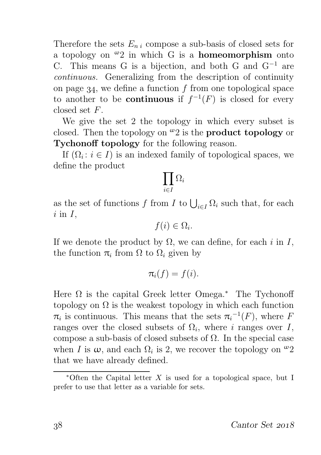Therefore the sets  $E_{n,i}$  compose a sub-basis of closed sets for a topology on  $\omega_2$  in which G is a **homeomorphism** onto C. This means G is a bijection, and both G and  $G^{-1}$  are continuous. Generalizing from the description of continuity on page  $34$ , we define a function f from one topological space to another to be **continuous** if  $f^{-1}(F)$  is closed for every closed set F.

We give the set 2 the topology in which every subset is closed. Then the topology on  $\omega_2$  is the **product topology** or Tychonoff topology for the following reason.

If  $(\Omega_i : i \in I)$  is an indexed family of topological spaces, we define the product

$$
\prod_{i\in I}\Omega_i
$$

as the set of functions f from I to  $\bigcup_{i\in I} \Omega_i$  such that, for each  $i$  in  $I$ ,

$$
f(i) \in \Omega_i.
$$

If we denote the product by  $\Omega$ , we can define, for each i in I, the function  $\pi_i$  from  $\Omega$  to  $\Omega_i$  given by

$$
\pi_i(f)=f(i).
$$

Here  $\Omega$  is the capital Greek letter Omega.<sup>\*</sup> The Tychonoff topology on  $\Omega$  is the weakest topology in which each function  $\pi_i$  is continuous. This means that the sets  $\pi_i^{-1}(F)$ , where F ranges over the closed subsets of  $\Omega_i$ , where i ranges over I, compose a sub-basis of closed subsets of  $\Omega$ . In the special case when I is  $\omega$ , and each  $\Omega_i$  is 2, we recover the topology on  $\omega_2$ that we have already defined.

<sup>\*</sup>Often the Capital letter  $X$  is used for a topological space, but I prefer to use that letter as a variable for sets.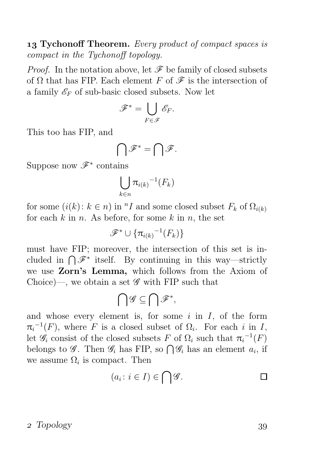**13 Tychonoff Theorem.** Every product of compact spaces is compact in the Tychonoff topology.

*Proof.* In the notation above, let  $\mathcal F$  be family of closed subsets of  $\Omega$  that has FIP. Each element F of  $\mathscr F$  is the intersection of a family  $\mathscr{E}_F$  of sub-basic closed subsets. Now let

$$
\mathscr{F}^* = \bigcup_{F \in \mathscr{F}} \mathscr{E}_F.
$$

This too has FIP, and

$$
\bigcap\mathscr{F}^*=\bigcap\mathscr{F}.
$$

Suppose now  $\mathscr{F}^*$  contains

$$
\bigcup_{k\in n} \pi_{i(k)}^{-1}(F_k)
$$

for some  $(i(k): k \in n)$  in <sup>n</sup>I and some closed subset  $F_k$  of  $\Omega_{i(k)}$ for each  $k$  in  $n$ . As before, for some  $k$  in  $n$ , the set

$$
\mathscr{F}^* \cup \{ \pi_{i(k)}{}^{-1}(F_k) \}
$$

must have FIP; moreover, the intersection of this set is included in  $\bigcap \mathscr{F}^*$  itself. By continuing in this way—strictly we use Zorn's Lemma, which follows from the Axiom of Choice)—, we obtain a set  $\mathscr G$  with FIP such that

$$
\bigcap\mathscr{G}\subseteq\bigcap\mathscr{F}^{\ast},
$$

and whose every element is, for some  $i$  in  $I$ , of the form  $\pi_i^{-1}(F)$ , where F is a closed subset of  $\Omega_i$ . For each i in I, let  $\mathscr{G}_i$  consist of the closed subsets F of  $\Omega_i$  such that  $\pi_i^{-1}(F)$ belongs to  $\mathscr{G}$ . Then  $\mathscr{G}_i$  has FIP, so  $\bigcap \mathscr{G}_i$  has an element  $a_i$ , if we assume  $\Omega_i$  is compact. Then

$$
(a_i: i \in I) \in \bigcap \mathscr{G}.
$$

#### 2 Topology 39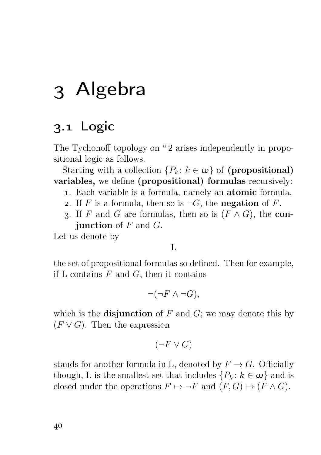## Algebra

## 3.1 Logic

The Tychonoff topology on  $\omega_2$  arises independently in propositional logic as follows.

Starting with a collection  $\{P_k : k \in \omega\}$  of (propositional) variables, we define (propositional) formulas recursively:

- . Each variable is a formula, namely an atomic formula.
- 2. If F is a formula, then so is  $\neg G$ , the negation of F.
- 3. If F and G are formulas, then so is  $(F \wedge G)$ , the con**junction** of  $F$  and  $G$ .

Let us denote by

L

the set of propositional formulas so defined. Then for example, if L contains  $F$  and  $G$ , then it contains

 $\neg(\neg F \land \neg G)$ ,

which is the **disjunction** of  $F$  and  $G$ ; we may denote this by  $(F \vee G)$ . Then the expression

$$
(\neg F \lor G)
$$

stands for another formula in L, denoted by  $F \to G$ . Officially though, L is the smallest set that includes  $\{P_k : k \in \omega\}$  and is closed under the operations  $F \mapsto \neg F$  and  $(F, G) \mapsto (F \wedge G)$ .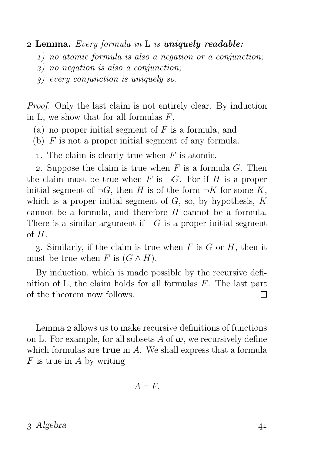#### **2 Lemma.** Every formula in L is **uniquely readable:**

- ) no atomic formula is also a negation or a conjunction;
- ) no negation is also a conjunction;
- ) every conjunction is uniquely so.

Proof. Only the last claim is not entirely clear. By induction in L, we show that for all formulas  $F$ ,

- (a) no proper initial segment of  $F$  is a formula, and
- (b)  $F$  is not a proper initial segment of any formula.
- 1. The claim is clearly true when  $F$  is atomic.

2. Suppose the claim is true when  $F$  is a formula  $G$ . Then the claim must be true when F is  $\neg G$ . For if H is a proper initial segment of  $\neg G$ , then H is of the form  $\neg K$  for some K, which is a proper initial segment of  $G$ , so, by hypothesis,  $K$ cannot be a formula, and therefore  $H$  cannot be a formula. There is a similar argument if  $\neg G$  is a proper initial segment of  $H$ .

3. Similarly, if the claim is true when  $F$  is  $G$  or  $H$ , then it must be true when F is  $(G \wedge H)$ .

By induction, which is made possible by the recursive definition of L, the claim holds for all formulas  $F$ . The last part of the theorem now follows. П

Lemma 2 allows us to make recursive definitions of functions on L. For example, for all subsets A of  $\omega$ , we recursively define which formulas are **true** in A. We shall express that a formula  $F$  is true in A by writing

$$
A \vDash F.
$$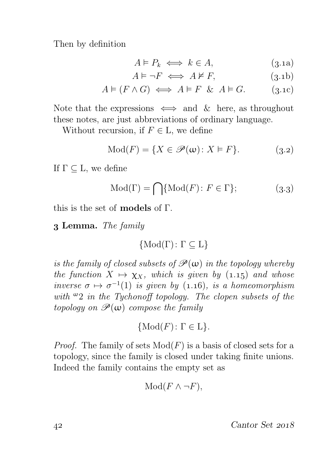Then by definition

$$
A \models P_k \iff k \in A,\tag{3.1a}
$$

$$
A \models \neg F \iff A \not\models F,\tag{3.1b}
$$

$$
A \vDash (F \land G) \iff A \vDash F \& A \vDash G. \tag{3.1c}
$$

Note that the expressions  $\iff$  and  $\&$  here, as throughout these notes, are just abbreviations of ordinary language.

Without recursion, if  $F \in L$ , we define

$$
Mod(F) = \{ X \in \mathcal{P}(\omega) \colon X \models F \}. \tag{3.2}
$$

If  $\Gamma \subseteq L$ , we define

$$
Mod(\Gamma) = \bigcap \{ Mod(F) \colon F \in \Gamma \};\tag{3.3}
$$

this is the set of models of Γ.

Lemma. The family

$$
\{\mathrm{Mod}(\Gamma) \colon \Gamma \subseteq L\}
$$

is the family of closed subsets of  $\mathscr{P}(\omega)$  in the topology whereby the function  $X \mapsto \chi_X$ , which is given by (1.15) and whose inverse  $\sigma \mapsto \sigma^{-1}(1)$  is given by (1.16), is a homeomorphism with  $\omega_2$  in the Tychonoff topology. The clopen subsets of the topology on  $\mathscr{P}(\omega)$  compose the family

$$
\{\text{Mod}(F) \colon \Gamma \in \mathcal{L}\}.
$$

*Proof.* The family of sets  $Mod(F)$  is a basis of closed sets for a topology, since the family is closed under taking finite unions. Indeed the family contains the empty set as

$$
Mod(F \wedge \neg F),
$$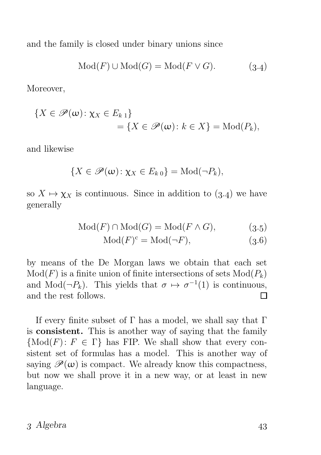and the family is closed under binary unions since

$$
Mod(F) \cup Mod(G) = Mod(F \vee G).
$$
 (3.4)

Moreover,

$$
\{X \in \mathscr{P}(\omega) : \chi_X \in E_{k\,1}\}\
$$
  
= 
$$
\{X \in \mathscr{P}(\omega) : k \in X\} = \text{Mod}(P_k),
$$

and likewise

$$
\{X\in\mathscr{P}(\omega)\colon \chi_X\in E_{k\,0}\}=\mathrm{Mod}(\neg P_k),
$$

so  $X \mapsto \chi_X$  is continuous. Since in addition to (3.4) we have generally

$$
Mod(F) \cap Mod(G) = Mod(F \wedge G), \tag{3.5}
$$

$$
Mod(F)^{c} = Mod(\neg F), \tag{3.6}
$$

by means of the De Morgan laws we obtain that each set  $Mod(F)$  is a finite union of finite intersections of sets  $Mod(P_k)$ and Mod( $\neg P_k$ ). This yields that  $\sigma \mapsto \sigma^{-1}(1)$  is continuous, and the rest follows. П

If every finite subset of  $\Gamma$  has a model, we shall say that  $\Gamma$ is consistent. This is another way of saying that the family  ${Mod}(F)$ :  $F \in \Gamma$  has FIP. We shall show that every consistent set of formulas has a model. This is another way of saying  $\mathscr{P}(\omega)$  is compact. We already know this compactness, but now we shall prove it in a new way, or at least in new language.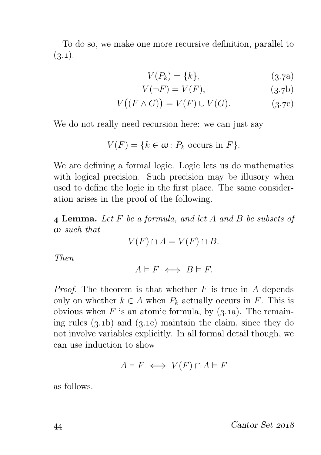To do so, we make one more recursive definition, parallel to  $(3.1).$ 

$$
V(P_k) = \{k\},\tag{3.7a}
$$

$$
V(\neg F) = V(F),\tag{3.7b}
$$

$$
V((F \wedge G)) = V(F) \cup V(G).
$$
 (3.7c)

We do not really need recursion here: we can just say

$$
V(F) = \{ k \in \omega : P_k \text{ occurs in } F \}.
$$

We are defining a formal logic. Logic lets us do mathematics with logical precision. Such precision may be illusory when used to define the logic in the first place. The same consideration arises in the proof of the following.

 Lemma. Let F be a formula, and let A and B be subsets of ω such that

$$
V(F) \cap A = V(F) \cap B.
$$

Then

 $A \models F \iff B \models F$ .

*Proof.* The theorem is that whether  $F$  is true in  $A$  depends only on whether  $k \in A$  when  $P_k$  actually occurs in F. This is obvious when F is an atomic formula, by  $(3.1a)$ . The remaining rules  $(3.1b)$  and  $(3.1c)$  maintain the claim, since they do not involve variables explicitly. In all formal detail though, we can use induction to show

$$
A \vDash F \iff V(F) \cap A \vDash F
$$

as follows.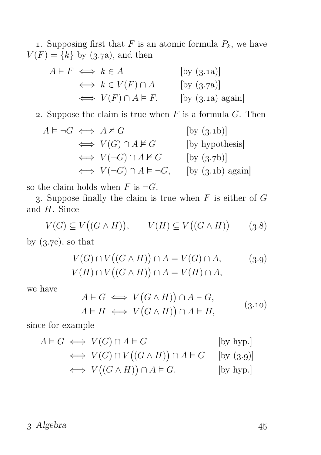1. Supposing first that  $F$  is an atomic formula  $P_k$ , we have  $V(F) = \{k\}$  by (3.7a), and then

$$
A \models F \iff k \in A \qquad \text{[by (3.1a)]}
$$
  
\n
$$
\iff k \in V(F) \cap A \qquad \text{[by (3.7a)]}
$$
  
\n
$$
\iff V(F) \cap A \models F. \qquad \text{[by (3.1a) again]}
$$

2. Suppose the claim is true when  $F$  is a formula  $G$ . Then

$$
A \models \neg G \iff A \nvDash G \qquad \qquad [\text{by (3.1b)}]
$$
  
\n
$$
\iff V(G) \cap A \nvDash G \qquad \qquad [\text{by hypothesis}]
$$
  
\n
$$
\iff V(\neg G) \cap A \nvDash G \qquad \qquad [\text{by (3.7b)}]
$$
  
\n
$$
\iff V(\neg G) \cap A \vDash \neg G, \qquad [\text{by (3.1b) again}]
$$

so the claim holds when F is  $\neg G$ .

3. Suppose finally the claim is true when  $F$  is either of  $G$ and H. Since

$$
V(G) \subseteq V((G \wedge H)), \qquad V(H) \subseteq V((G \wedge H)) \qquad (3.8)
$$

by  $(3.7c)$ , so that

$$
V(G) \cap V((G \wedge H)) \cap A = V(G) \cap A, \qquad (3.9)
$$
  

$$
V(H) \cap V((G \wedge H)) \cap A = V(H) \cap A,
$$

we have

$$
A \models G \iff V(G \land H)) \cap A \models G,
$$
  

$$
A \models H \iff V(G \land H)) \cap A \models H,
$$
 (3.10)

since for example

$$
A \models G \iff V(G) \cap A \models G \qquad \qquad [\text{by hyp.}]
$$
  
\n
$$
\iff V(G) \cap V((G \land H)) \cap A \models G \qquad [\text{by (3.9)}]
$$
  
\n
$$
\iff V((G \land H)) \cap A \models G. \qquad \qquad [\text{by hyp.}]
$$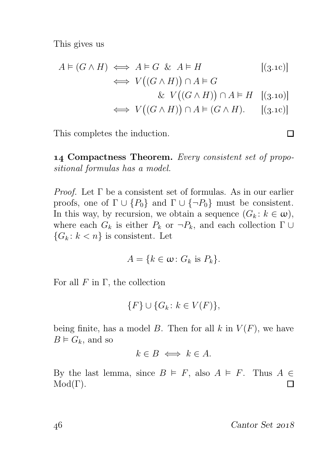This gives us

$$
A \vDash (G \land H) \iff A \vDash G \& A \vDash H \qquad [(3.1c)]
$$
  
\n
$$
\iff V((G \land H)) \cap A \vDash G
$$
  
\n
$$
\& V((G \land H)) \cap A \vDash H \quad [(3.10)]
$$
  
\n
$$
\iff V((G \land H)) \cap A \vDash (G \land H). \quad [(3.1c)]
$$

This completes the induction.

14 Compactness Theorem. Every consistent set of propositional formulas has a model.

*Proof.* Let  $\Gamma$  be a consistent set of formulas. As in our earlier proofs, one of  $\Gamma \cup \{P_0\}$  and  $\Gamma \cup \{\neg P_0\}$  must be consistent. In this way, by recursion, we obtain a sequence  $(G_k : k \in \omega)$ , where each  $G_k$  is either  $P_k$  or  $\neg P_k$ , and each collection  $\Gamma \cup$  ${G_k: k < n}$  is consistent. Let

$$
A = \{k \in \omega \colon G_k \text{ is } P_k\}.
$$

For all  $F$  in  $\Gamma$ , the collection

$$
\{F\} \cup \{G_k \colon k \in V(F)\},\
$$

being finite, has a model B. Then for all k in  $V(F)$ , we have  $B \vDash G_k$ , and so

 $k \in B \iff k \in A$ .

By the last lemma, since  $B \models F$ , also  $A \models F$ . Thus  $A \in$  $Mod(\Gamma)$ . П

46 Cantor Set 2018

 $\Box$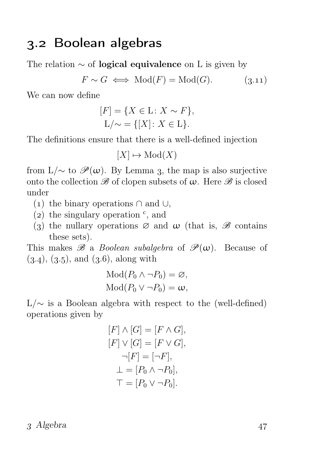### 3.2 Boolean algebras

The relation  $\sim$  of **logical equivalence** on L is given by

$$
F \sim G \iff \text{Mod}(F) = \text{Mod}(G). \tag{3.11}
$$

We can now define

$$
[F] = \{ X \in \mathcal{L} \colon X \sim F \},
$$
  

$$
\mathcal{L}/\sim = \{ [X] \colon X \in \mathcal{L} \}.
$$

The definitions ensure that there is a well-defined injection

$$
[X] \mapsto \mathrm{Mod}(X)
$$

from L/ $\sim$  to  $\mathscr{P}(\omega)$ . By Lemma 3, the map is also surjective onto the collection  $\mathscr B$  of clopen subsets of  $\omega$ . Here  $\mathscr B$  is closed under

- (1) the binary operations  $\cap$  and  $\cup$ ,
- (2) the singulary operation  $\degree$ , and
- (3) the nullary operations  $\varnothing$  and  $\omega$  (that is,  $\mathscr B$  contains these sets).

This makes  $\mathscr B$  a *Boolean subalgebra* of  $\mathscr P(\omega)$ . Because of  $(3.4), (3.5),$  and  $(3.6),$  along with

$$
Mod(P_0 \wedge \neg P_0) = \varnothing,
$$
  

$$
Mod(P_0 \vee \neg P_0) = \omega,
$$

 $L/\sim$  is a Boolean algebra with respect to the (well-defined) operations given by

$$
[F] \wedge [G] = [F \wedge G],
$$
  
\n
$$
[F] \vee [G] = [F \vee G],
$$
  
\n
$$
\neg [F] = [\neg F],
$$
  
\n
$$
\perp = [P_0 \wedge \neg P_0],
$$
  
\n
$$
\top = [P_0 \vee \neg P_0].
$$

 $3$  Algebra  $47$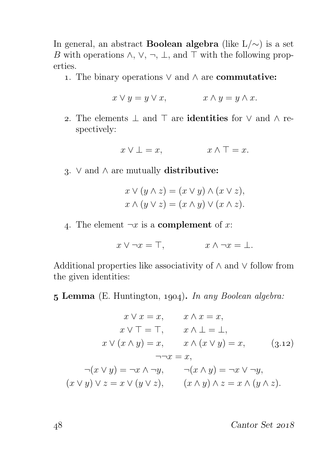In general, an abstract Boolean algebra (like L/∼) is a set B with operations  $\wedge$ ,  $\vee$ ,  $\neg$ ,  $\perp$ , and  $\top$  with the following properties.

1. The binary operations  $\vee$  and  $\wedge$  are **commutative:** 

$$
x \lor y = y \lor x, \qquad x \land y = y \land x.
$$

2. The elements ⊥ and ⊤ are **identities** for  $\vee$  and  $\wedge$  respectively:

$$
x \vee \bot = x, \qquad x \wedge \top = x.
$$

3. ∨ and  $\land$  are mutually distributive:

$$
x \vee (y \wedge z) = (x \vee y) \wedge (x \vee z),
$$
  

$$
x \wedge (y \vee z) = (x \wedge y) \vee (x \wedge z).
$$

4. The element  $\neg x$  is a **complement** of x:

$$
x \vee \neg x = \top, \qquad x \wedge \neg x = \bot.
$$

Additional properties like associativity of ∧ and ∨ follow from the given identities:

 $5$  Lemma (E. Huntington, 1904). In any Boolean algebra:

$$
x \lor x = x, \qquad x \land x = x,
$$
  
\n
$$
x \lor \top = \top, \qquad x \land \bot = \bot,
$$
  
\n
$$
x \lor (x \land y) = x, \qquad x \land (x \lor y) = x, \qquad (3.12)
$$
  
\n
$$
\neg\neg x = x,
$$
  
\n
$$
\neg(x \lor y) = \neg x \land \neg y, \qquad \neg(x \land y) = \neg x \lor \neg y,
$$
  
\n
$$
(x \lor y) \lor z = x \lor (y \lor z), \qquad (x \land y) \land z = x \land (y \land z).
$$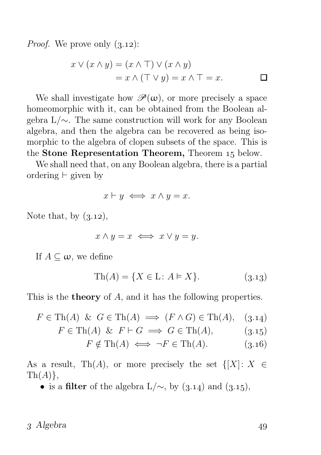*Proof.* We prove only  $(3.12)$ :

$$
x \lor (x \land y) = (x \land \top) \lor (x \land y)
$$
  
=  $x \land (\top \lor y) = x \land \top = x.$ 

We shall investigate how  $\mathscr{P}(\omega)$ , or more precisely a space homeomorphic with it, can be obtained from the Boolean algebra L/∼. The same construction will work for any Boolean algebra, and then the algebra can be recovered as being isomorphic to the algebra of clopen subsets of the space. This is the Stone Representation Theorem, Theorem 15 below.

We shall need that, on any Boolean algebra, there is a partial ordering ⊢ given by

$$
x \vdash y \iff x \land y = x.
$$

Note that, by  $(3.12)$ ,

$$
x \wedge y = x \iff x \vee y = y.
$$

If  $A \subseteq \omega$ , we define

$$
Th(A) = \{ X \in L : A \models X \}. \tag{3.13}
$$

This is the **theory** of A, and it has the following properties.

$$
F \in \text{Th}(A) \& G \in \text{Th}(A) \implies (F \wedge G) \in \text{Th}(A), \quad (3.14)
$$

$$
F \in \text{Th}(A) \& F \vdash G \implies G \in \text{Th}(A), \quad (3.15)
$$

$$
F \notin \text{Th}(A) \iff \neg F \in \text{Th}(A). \quad (3.16)
$$

As a result, Th(A), or more precisely the set  $\{[X]: X \in$  $\text{Th}(A)\},\$ 

• is a filter of the algebra  $L/\sim$ , by (3.14) and (3.15),

 $3$  Algebra  $49$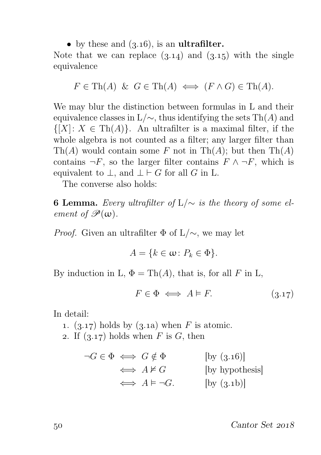• by these and  $(3.16)$ , is an **ultrafilter.** 

Note that we can replace  $(3.14)$  and  $(3.15)$  with the single equivalence

$$
F \in \text{Th}(A) \& G \in \text{Th}(A) \iff (F \wedge G) \in \text{Th}(A).
$$

We may blur the distinction between formulas in L and their equivalence classes in  $L/\sim$ , thus identifying the sets Th(A) and  $\{[X]: X \in \text{Th}(A)\}\$ . An ultrafilter is a maximal filter, if the whole algebra is not counted as a filter; any larger filter than  $\mathrm{Th}(A)$  would contain some F not in  $\mathrm{Th}(A)$ ; but then  $\mathrm{Th}(A)$ contains  $\neg F$ , so the larger filter contains  $F \wedge \neg F$ , which is equivalent to  $\bot$ , and  $\bot \vdash G$  for all G in L.

The converse also holds:

**6 Lemma.** Every ultrafilter of  $L/\sim$  is the theory of some element of  $\mathscr{P}(\omega)$ .

*Proof.* Given an ultrafilter  $\Phi$  of L/ $\sim$ , we may let

$$
A = \{k \in \omega \colon P_k \in \Phi\}.
$$

By induction in L,  $\Phi = \text{Th}(A)$ , that is, for all F in L,

 $F \in \Phi \iff A \models F.$  (3.17)

In detail:

- 1. (3.17) holds by (3.1a) when F is atomic.
- 2. If  $(3.17)$  holds when F is G, then

$$
\neg G \in \Phi \iff G \notin \Phi \qquad \qquad [\text{by (3.16)}]
$$
  
\n
$$
\iff A \nvDash G \qquad \qquad [\text{by hypothesis}]
$$
  
\n
$$
\iff A \vDash \neg G. \qquad \qquad [\text{by (3.1b)}]
$$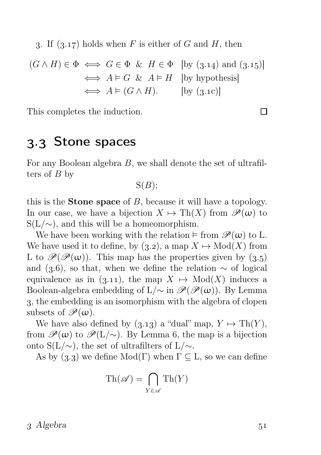3. If  $(3.17)$  holds when F is either of G and H, then

$$
(G \land H) \in \Phi \iff G \in \Phi \& H \in \Phi \text{ [by (3.14) and (3.15)]}
$$

$$
\iff A \models G \& A \models H \text{ [by hypothesis]}
$$

$$
\iff A \models (G \land H). \text{ [by (3.1c)]}
$$

This completes the induction.

## . Stone spaces

For any Boolean algebra B, we shall denote the set of ultrafilters of  $B$  by

 $S(B)$ ;

this is the **Stone space** of  $B$ , because it will have a topology. In our case, we have a bijection  $X \mapsto \text{Th}(X)$  from  $\mathscr{P}(\omega)$  to  $S(L/\sim)$ , and this will be a homeomorphism.

We have been working with the relation  $\models$  from  $\mathscr{P}(\omega)$  to L. We have used it to define, by  $(3.2)$ , a map  $X \mapsto Mod(X)$  from L to  $\mathscr{P}(\mathscr{P}(\omega))$ . This map has the properties given by  $(3.5)$ and (3.6), so that, when we define the relation  $\sim$  of logical equivalence as in (3.11), the map  $X \mapsto Mod(X)$  induces a Boolean-algebra embedding of L/∼ in  $\mathscr{P}(\mathscr{P}(\omega))$ . By Lemma , the embedding is an isomorphism with the algebra of clopen subsets of  $\mathscr{P}(\omega)$ .

We have also defined by  $(3.13)$  a "dual" map,  $Y \mapsto \text{Th}(Y)$ , from  $\mathscr{P}(\omega)$  to  $\mathscr{P}(L/\sim)$ . By Lemma 6, the map is a bijection onto S(L/∼), the set of ultrafilters of L/∼.

As by  $(3.3)$  we define Mod(Γ) when  $\Gamma \subseteq L$ , so we can define

$$
\mathrm{Th}(\mathscr{A}) = \bigcap_{Y \in \mathscr{A}} \mathrm{Th}(Y)
$$

 $\Box$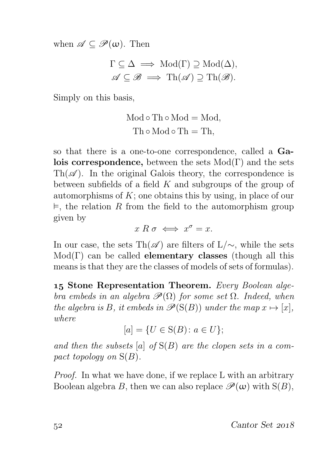when  $\mathscr{A} \subseteq \mathscr{P}(\omega)$ . Then

$$
\Gamma \subseteq \Delta \implies \text{Mod}(\Gamma) \supseteq \text{Mod}(\Delta),
$$
  

$$
\mathscr{A} \subseteq \mathscr{B} \implies \text{Th}(\mathscr{A}) \supseteq \text{Th}(\mathscr{B}).
$$

Simply on this basis,

$$
Mod \circ Th \circ Mod = Mod,
$$
  

$$
Th \circ Mod \circ Th = Th,
$$

so that there is a one-to-one correspondence, called a Galois correspondence, between the sets  $Mod(Γ)$  and the sets Th( $\mathscr{A}$ ). In the original Galois theory, the correspondence is between subfields of a field  $K$  and subgroups of the group of automorphisms of  $K$ ; one obtains this by using, in place of our  $\vDash$ , the relation R from the field to the automorphism group given by

 $x R \sigma \iff x^{\sigma} = x.$ 

In our case, the sets Th( $\mathscr A$ ) are filters of L/∼, while the sets  $Mod(\Gamma)$  can be called **elementary classes** (though all this means is that they are the classes of models of sets of formulas).

15 Stone Representation Theorem. Every Boolean algebra embeds in an algebra  $\mathscr{P}(\Omega)$  for some set  $\Omega$ . Indeed, when the algebra is B, it embeds in  $\mathcal{P}(S(B))$  under the map  $x \mapsto [x]$ , where

$$
[a] = \{ U \in S(B) \colon a \in U \};
$$

and then the subsets  $[a]$  of  $S(B)$  are the clopen sets in a compact topology on  $S(B)$ .

Proof. In what we have done, if we replace L with an arbitrary Boolean algebra B, then we can also replace  $\mathscr{P}(\omega)$  with  $S(B)$ ,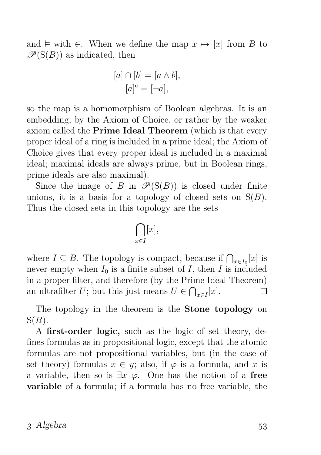and  $\models$  with  $∈$ . When we define the map  $x \mapsto [x]$  from B to  $\mathscr{P}(S(B))$  as indicated, then

$$
[a] \cap [b] = [a \wedge b],
$$

$$
[a]^{c} = [\neg a],
$$

so the map is a homomorphism of Boolean algebras. It is an embedding, by the Axiom of Choice, or rather by the weaker axiom called the Prime Ideal Theorem (which is that every proper ideal of a ring is included in a prime ideal; the Axiom of Choice gives that every proper ideal is included in a maximal ideal; maximal ideals are always prime, but in Boolean rings, prime ideals are also maximal).

Since the image of B in  $\mathscr{P}(S(B))$  is closed under finite unions, it is a basis for a topology of closed sets on  $S(B)$ . Thus the closed sets in this topology are the sets

$$
\bigcap_{x\in I}[x],
$$

where  $I \subseteq B$ . The topology is compact, because if  $\bigcap_{x \in I_0}[x]$  is never empty when  $I_0$  is a finite subset of  $I$ , then  $I$  is included in a proper filter, and therefore (by the Prime Ideal Theorem) an ultrafilter U; but this just means  $U \in \bigcap_{x \in I}[x]$ . П

The topology in the theorem is the Stone topology on  $S(B)$ .

A first-order logic, such as the logic of set theory, defines formulas as in propositional logic, except that the atomic formulas are not propositional variables, but (in the case of set theory) formulas  $x \in y$ ; also, if  $\varphi$  is a formula, and x is a variable, then so is  $\exists x \varphi$ . One has the notion of a free variable of a formula; if a formula has no free variable, the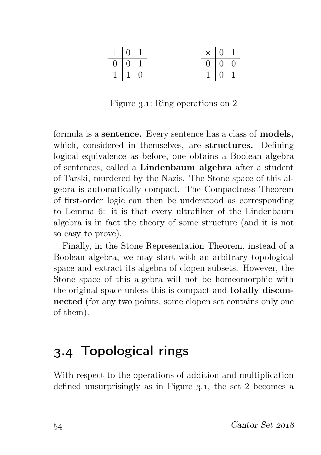| $+$ 0 1         |                     |  | $\begin{array}{c cc}\n\times & 0 & 1 \\ \hline\n0 & 0 & 0 \\ 1 & 0 & 1\n\end{array}$ |  |
|-----------------|---------------------|--|--------------------------------------------------------------------------------------|--|
| $\boxed{0}$ 0 1 |                     |  |                                                                                      |  |
|                 | $1 \quad 1 \quad 0$ |  |                                                                                      |  |

Figure 3.1: Ring operations on 2

formula is a sentence. Every sentence has a class of models, which, considered in themselves, are structures. Defining logical equivalence as before, one obtains a Boolean algebra of sentences, called a Lindenbaum algebra after a student of Tarski, murdered by the Nazis. The Stone space of this algebra is automatically compact. The Compactness Theorem of first-order logic can then be understood as corresponding to Lemma 6: it is that every ultrafilter of the Lindenbaum algebra is in fact the theory of some structure (and it is not so easy to prove).

Finally, in the Stone Representation Theorem, instead of a Boolean algebra, we may start with an arbitrary topological space and extract its algebra of clopen subsets. However, the Stone space of this algebra will not be homeomorphic with the original space unless this is compact and totally disconnected (for any two points, some clopen set contains only one of them).

## . Topological rings

With respect to the operations of addition and multiplication defined unsurprisingly as in Figure  $3.1$ , the set 2 becomes a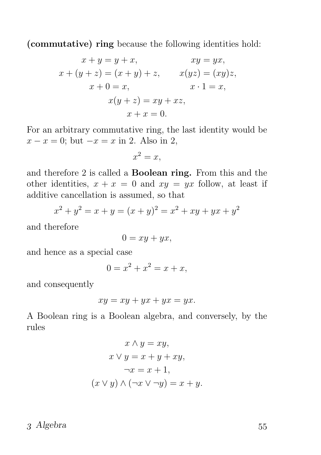(commutative) ring because the following identities hold:

$$
x + y = y + x,
$$
  
\n
$$
xy = yx,
$$
  
\n
$$
x + (y + z) = (x + y) + z,
$$
  
\n
$$
x + 0 = x,
$$
  
\n
$$
x(y + z) = xy + xz,
$$
  
\n
$$
x + x = 0.
$$

For an arbitrary commutative ring, the last identity would be  $x - x = 0$ ; but  $-x = x$  in 2. Also in 2,

$$
x^2 = x,
$$

and therefore 2 is called a Boolean ring. From this and the other identities,  $x + x = 0$  and  $xy = yx$  follow, at least if additive cancellation is assumed, so that

$$
x^{2} + y^{2} = x + y = (x + y)^{2} = x^{2} + xy + yx + y^{2}
$$

and therefore

 $0 = xy + yx,$ 

and hence as a special case

$$
0 = x^2 + x^2 = x + x,
$$

and consequently

$$
xy = xy + yx + yx = yx.
$$

A Boolean ring is a Boolean algebra, and conversely, by the rules

$$
x \wedge y = xy,
$$
  
\n
$$
x \vee y = x + y + xy,
$$
  
\n
$$
\neg x = x + 1,
$$
  
\n
$$
(x \vee y) \wedge (\neg x \vee \neg y) = x + y.
$$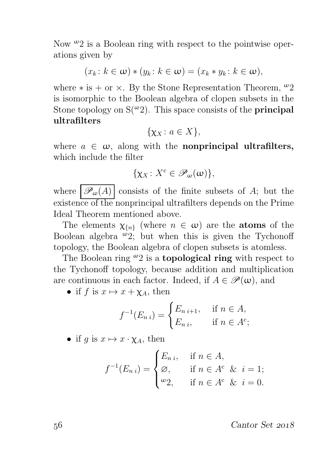Now  $\omega_2$  is a Boolean ring with respect to the pointwise operations given by

$$
(x_k: k \in \omega) * (y_k: k \in \omega) = (x_k * y_k: k \in \omega),
$$

where  $*$  is  $+$  or  $\times$ . By the Stone Representation Theorem, <sup>ω</sup>2 is isomorphic to the Boolean algebra of clopen subsets in the Stone topology on  $S(\omega_2)$ . This space consists of the **principal** ultrafilters

$$
\{\chi_X \colon a \in X\},\
$$

where  $a \in \omega$ , along with the **nonprincipal ultrafilters**, which include the filter

$$
\{\chi_X\colon X^{\mathrm{c}}\in\mathscr{P}_{\omega}(\omega)\},\
$$

where  $\overline{\mathscr{P}_{\omega}(A)}$  consists of the finite subsets of A; but the existence of the nonprincipal ultrafilters depends on the Prime Ideal Theorem mentioned above.

The elements  $\chi_{\{n\}}$  (where  $n \in \omega$ ) are the **atoms** of the Boolean algebra  $\omega$ 2; but when this is given the Tychonoff topology, the Boolean algebra of clopen subsets is atomless.

The Boolean ring  $\omega_2$  is a **topological ring** with respect to the Tychonoff topology, because addition and multiplication are continuous in each factor. Indeed, if  $A \in \mathscr{P}(\omega)$ , and

• if f is  $x \mapsto x + \chi_A$ , then

$$
f^{-1}(E_{n i}) = \begin{cases} E_{n i+1}, & \text{if } n \in A, \\ E_{n i}, & \text{if } n \in A^c; \end{cases}
$$

• if g is  $x \mapsto x \cdot \chi_A$ , then

$$
f^{-1}(E_{n i}) = \begin{cases} E_{n i}, & \text{if } n \in A, \\ \varnothing, & \text{if } n \in A^c \& i = 1; \\ \varnothing, & \text{if } n \in A^c \& i = 0. \end{cases}
$$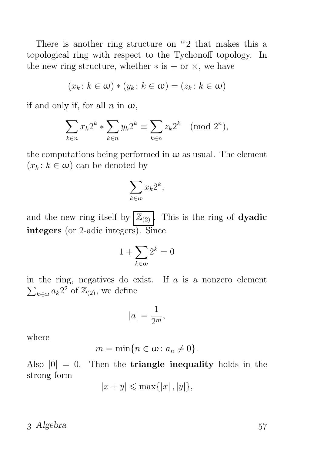There is another ring structure on  $\omega_2$  that makes this a topological ring with respect to the Tychonoff topology. In the new ring structure, whether  $*$  is  $+$  or  $\times$ , we have

$$
(x_k: k \in \omega) * (y_k: k \in \omega) = (z_k: k \in \omega)
$$

if and only if, for all n in  $\omega$ ,

$$
\sum_{k \in n} x_k 2^k * \sum_{k \in n} y_k 2^k \equiv \sum_{k \in n} z_k 2^k \pmod{2^n},
$$

the computations being performed in  $\omega$  as usual. The element  $(x_k : k \in \omega)$  can be denoted by

$$
\sum_{k\in\omega}x_k2^k,
$$

and the new ring itself by  $\left| \mathbb{Z}_{(2)} \right|$ . This is the ring of **dyadic** integers (or 2-adic integers). Since

$$
1 + \sum_{k \in \omega} 2^k = 0
$$

 $\sum_{k\in\omega}a_k2^2$  of  $\mathbb{Z}_{(2)}$ , we define in the ring, negatives do exist. If  $a$  is a nonzero element

$$
|a| = \frac{1}{2^m},
$$

where

$$
m=\min\{n\in\omega\colon a_n\neq 0\}.
$$

Also  $|0| = 0$ . Then the **triangle inequality** holds in the strong form

$$
|x+y| \leqslant \max\{|x|, |y|\},\
$$

#### 3 Algebra 57